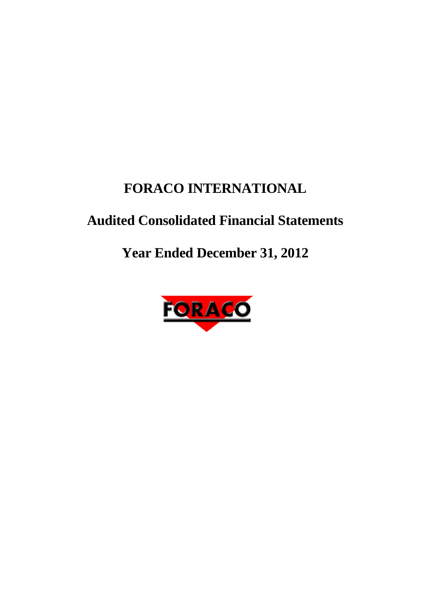# **Audited Consolidated Financial Statements**

# **Year Ended December 31, 2012**

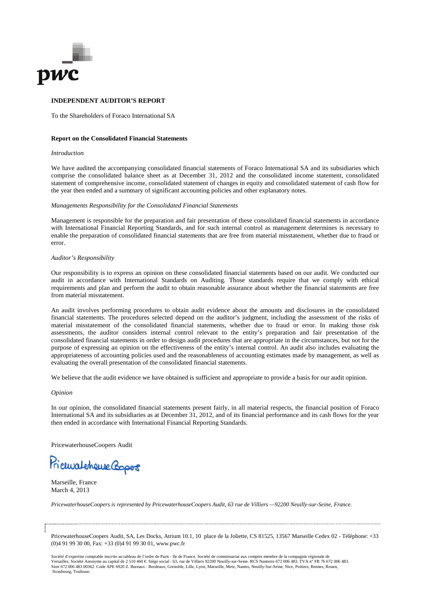

#### **INDEPENDENT AUDITOR'S REPORT**

To the Shareholders of Foraco International SA

#### **Report on the Consolidated Financial Statements**

#### *Introduction*

We have audited the accompanying consolidated financial statements of Foraco International SA and its subsidiaries which comprise the consolidated balance sheet as at December 31, 2012 and the consolidated income statement, consolidated statement of comprehensive income, consolidated statement of changes in equity and consolidated statement of cash flow for the year then ended and a summary of significant accounting policies and other explanatory notes.

#### *Managements Responsibility for the Consolidated Financial Statements*

Management is responsible for the preparation and fair presentation of these consolidated financial statements in accordance with International Financial Reporting Standards, and for such internal control as management determines is necessary to enable the preparation of consolidated financial statements that are free from material misstatement, whether due to fraud or error.

#### *Auditor's Responsibility*

Our responsibility is to express an opinion on these consolidated financial statements based on our audit. We conducted our audit in accordance with International Standards on Auditing. Those standards require that we comply with ethical requirements and plan and perform the audit to obtain reasonable assurance about whether the financial statements are free from material misstatement.

An audit involves performing procedures to obtain audit evidence about the amounts and disclosures in the consolidated financial statements. The procedures selected depend on the auditor's judgment, including the assessment of the risks of material misstatement of the consolidated financial statements, whether due to fraud or error. In making those risk assessments, the auditor considers internal control relevant to the entity's preparation and fair presentation of the consolidated financial statements in order to design audit procedures that are appropriate in the circumstances, but not for the purpose of expressing an opinion on the effectiveness of the entity's internal control. An audit also includes evaluating the appropriateness of accounting policies used and the reasonableness of accounting estimates made by management, as well as evaluating the overall presentation of the consolidated financial statements.

We believe that the audit evidence we have obtained is sufficient and appropriate to provide a basis for our audit opinion.

#### *Opinion*

In our opinion, the consolidated financial statements present fairly, in all material respects, the financial position of Foraco International SA and its subsidiaries as at December 31, 2012, and of its financial performance and its cash flows for the year then ended in accordance with International Financial Reporting Standards.

PricewaterhouseCoopers Audit

Pricuralchause Coper

Marseille, France March 4, 2013

*PricewaterhouseCoopers is represented by PricewaterhouseCoopers Audit, 63 rue de Villiers —92200 Neuilly-sur-Seine, France.*

PricewaterhouseCoopers Audit, SA, Les Docks, Atrium 10.1, 10 place de la Joliette, CS 81525, 13567 Marseille Cedex 02 - Téléphone: +33 (0)4 91 99 30 00, Fax: +33 (0)4 91 99 30 01, www.pwc.fr

Société d'expertise comptable inscrite au tableau de l'ordre de Paris - Ile de France. Société de commissariat aux comptes membre de la compagnie régionale de Versailles. Société Anonyme au capital de 2 510 460 €. Siège social : 63, rue de Villiers 92200 Neuilly-sur-Seine. RCS Nanterre 672 006 483. TVA n° FR 76 672 006 483. Siret 672 006 483 00362. Code APE 6920 Z. Bureaux : Bordeaux, Grenoble, Lille, Lyon, Marseille, Metz, Nantes, Neuilly-Sur-Seine, Nice, Poitiers, Rennes, Rouen, Strasbourg, Toulouse.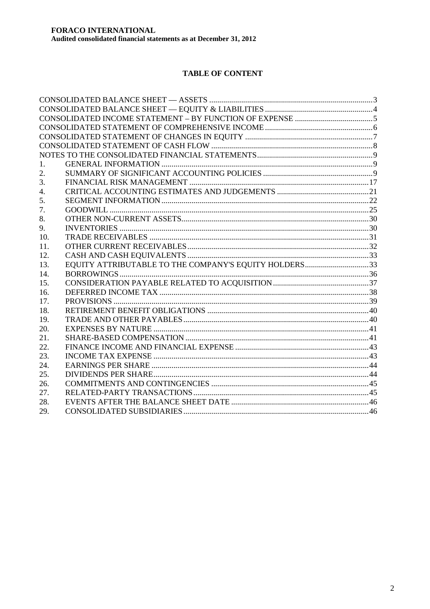# **TABLE OF CONTENT**

| 1.  |                                                       |  |
|-----|-------------------------------------------------------|--|
| 2.  |                                                       |  |
| 3.  |                                                       |  |
| 4.  |                                                       |  |
| 5.  |                                                       |  |
| 7.  |                                                       |  |
| 8.  |                                                       |  |
| 9.  |                                                       |  |
| 10. |                                                       |  |
| 11. |                                                       |  |
| 12. |                                                       |  |
| 13. | EQUITY ATTRIBUTABLE TO THE COMPANY'S EQUITY HOLDERS33 |  |
| 14. |                                                       |  |
| 15. |                                                       |  |
| 16. |                                                       |  |
| 17. |                                                       |  |
| 18. |                                                       |  |
| 19. |                                                       |  |
| 20. |                                                       |  |
| 21. |                                                       |  |
| 22. |                                                       |  |
| 23. |                                                       |  |
| 24. |                                                       |  |
| 25. |                                                       |  |
| 26. |                                                       |  |
| 27. |                                                       |  |
| 28. |                                                       |  |
| 29. |                                                       |  |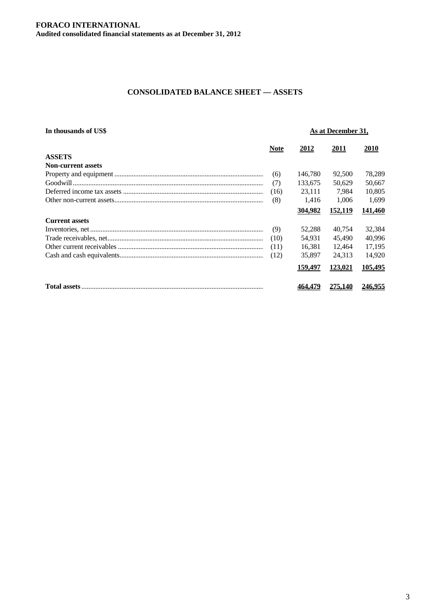# **CONSOLIDATED BALANCE SHEET — ASSETS**

#### **In thousands of US\$** As at December 31,

|                           | <b>Note</b> | 2012    | 2011           | <b>2010</b>    |
|---------------------------|-------------|---------|----------------|----------------|
| <b>ASSETS</b>             |             |         |                |                |
| <b>Non-current assets</b> |             |         |                |                |
|                           | (6)         | 146,780 | 92,500         | 78.289         |
|                           | (7)         | 133.675 | 50,629         | 50,667         |
|                           | (16)        | 23.111  | 7.984          | 10,805         |
|                           | (8)         | 1.416   | 1.006          | 1.699          |
|                           |             | 304,982 | 152,119        | 141,460        |
| <b>Current assets</b>     |             |         |                |                |
|                           | (9)         | 52.288  | 40.754         | 32.384         |
|                           | (10)        | 54.931  | 45,490         | 40.996         |
|                           | (11)        | 16,381  | 12.464         | 17.195         |
|                           | (12)        | 35,897  | 24,313         | 14,920         |
|                           |             | 159,497 | 123,021        | 105,495        |
|                           |             | 464.479 | <b>275.140</b> | <u>246.955</u> |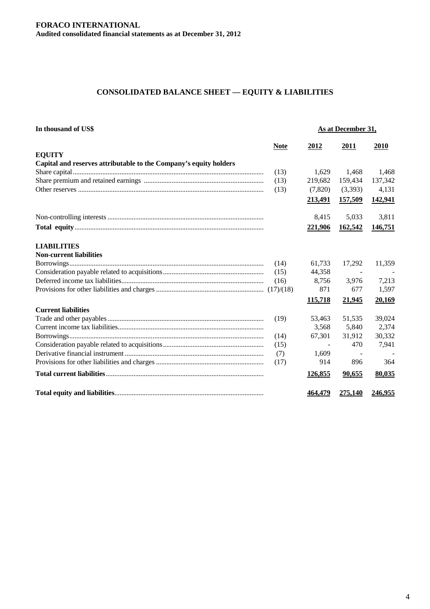# **CONSOLIDATED BALANCE SHEET — EQUITY & LIABILITIES**

| In thousand of US\$                                               |             |         | As at December 31,       |                |  |  |
|-------------------------------------------------------------------|-------------|---------|--------------------------|----------------|--|--|
|                                                                   | <b>Note</b> | 2012    | 2011                     | <b>2010</b>    |  |  |
| <b>EQUITY</b>                                                     |             |         |                          |                |  |  |
| Capital and reserves attributable to the Company's equity holders |             |         |                          |                |  |  |
|                                                                   | (13)        | 1.629   | 1.468                    | 1,468          |  |  |
|                                                                   | (13)        | 219,682 | 159,434                  | 137,342        |  |  |
|                                                                   | (13)        | (7,820) | (3,393)                  | 4,131          |  |  |
|                                                                   |             | 213,491 | <u>157,509</u>           | 142,941        |  |  |
|                                                                   |             | 8,415   | 5,033                    | 3,811          |  |  |
|                                                                   |             | 221,906 | 162,542                  | 146,751        |  |  |
| <b>LIABILITIES</b>                                                |             |         |                          |                |  |  |
| <b>Non-current liabilities</b>                                    |             |         |                          |                |  |  |
|                                                                   | (14)        | 61,733  | 17,292                   | 11,359         |  |  |
|                                                                   | (15)        | 44,358  | $\overline{\phantom{a}}$ |                |  |  |
|                                                                   | (16)        | 8,756   | 3,976                    | 7,213          |  |  |
|                                                                   |             | 871     | 677                      | 1,597          |  |  |
|                                                                   |             | 115,718 | 21,945                   | 20,169         |  |  |
| <b>Current liabilities</b>                                        |             |         |                          |                |  |  |
|                                                                   | (19)        | 53,463  | 51,535                   | 39,024         |  |  |
|                                                                   |             | 3,568   | 5,840                    | 2,374          |  |  |
|                                                                   | (14)        | 67,301  | 31,912                   | 30,332         |  |  |
|                                                                   | (15)        |         | 470                      | 7,941          |  |  |
|                                                                   | (7)         | 1,609   |                          |                |  |  |
|                                                                   | (17)        | 914     | 896                      | 364            |  |  |
|                                                                   |             | 126,855 | 90,655                   | 80,035         |  |  |
|                                                                   |             | 464,479 | <u>275,140</u>           | <u>246.955</u> |  |  |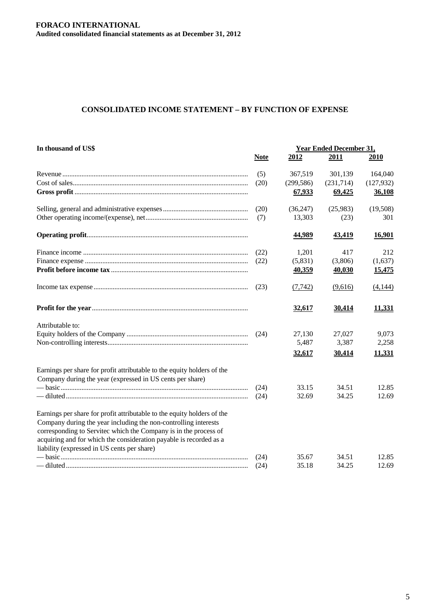# **CONSOLIDATED INCOME STATEMENT – BY FUNCTION OF EXPENSE**

| In thousand of US\$                                                                                                                  |             | <b>Year Ended December 31,</b> |               |               |  |
|--------------------------------------------------------------------------------------------------------------------------------------|-------------|--------------------------------|---------------|---------------|--|
|                                                                                                                                      | <b>Note</b> | 2012                           | <u> 2011</u>  | <u>2010</u>   |  |
|                                                                                                                                      | (5)         | 367,519                        | 301,139       | 164,040       |  |
|                                                                                                                                      | (20)        | (299, 586)                     | (231,714)     | (127, 932)    |  |
|                                                                                                                                      |             | 67,933                         | <u>69,425</u> | 36,108        |  |
|                                                                                                                                      | (20)        | (36,247)                       | (25,983)      | (19,508)      |  |
|                                                                                                                                      | (7)         | 13,303                         | (23)          | 301           |  |
|                                                                                                                                      |             | <u>44,989</u>                  | <u>43,419</u> | 16,901        |  |
|                                                                                                                                      | (22)        | 1,201                          | 417           | 212           |  |
|                                                                                                                                      | (22)        | (5,831)                        | (3,806)       | (1,637)       |  |
|                                                                                                                                      |             | 40,359                         | 40,030        | <u>15,475</u> |  |
|                                                                                                                                      | (23)        | (7, 742)                       | (9,616)       | (4,144)       |  |
|                                                                                                                                      |             | 32,617                         | 30,414        | 11,331        |  |
| Attributable to:                                                                                                                     |             |                                |               |               |  |
|                                                                                                                                      | (24)        | 27,130                         | 27,027        | 9,073         |  |
|                                                                                                                                      |             | 5,487                          | 3,387         | 2,258         |  |
|                                                                                                                                      |             | 32,617                         | 30,414        | 11,331        |  |
| Earnings per share for profit attributable to the equity holders of the<br>Company during the year (expressed in US cents per share) |             |                                |               |               |  |
|                                                                                                                                      | (24)        | 33.15                          | 34.51         | 12.85         |  |
|                                                                                                                                      | (24)        | 32.69                          | 34.25         | 12.69         |  |
|                                                                                                                                      |             |                                |               |               |  |
| Earnings per share for profit attributable to the equity holders of the                                                              |             |                                |               |               |  |
| Company during the year including the non-controlling interests                                                                      |             |                                |               |               |  |
| corresponding to Servitec which the Company is in the process of                                                                     |             |                                |               |               |  |
| acquiring and for which the consideration payable is recorded as a                                                                   |             |                                |               |               |  |
| liability (expressed in US cents per share)                                                                                          |             |                                |               |               |  |
|                                                                                                                                      | (24)        | 35.67                          | 34.51         | 12.85         |  |
|                                                                                                                                      | (24)        | 35.18                          | 34.25         | 12.69         |  |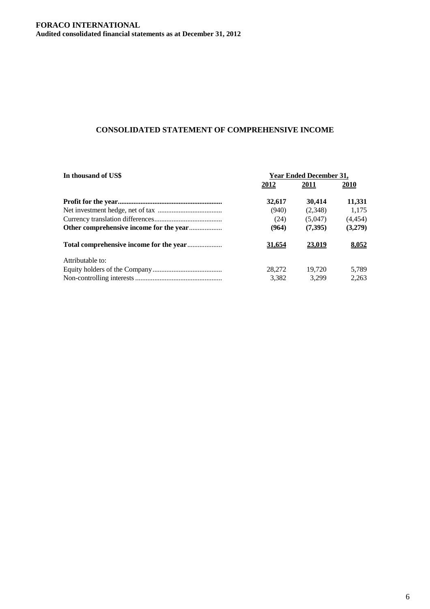#### **CONSOLIDATED STATEMENT OF COMPREHENSIVE INCOME**

| In thousand of US\$ | <b>Year Ended December 31,</b> |         |             |  |
|---------------------|--------------------------------|---------|-------------|--|
|                     | 2012                           | 2011    | <b>2010</b> |  |
|                     | 32,617                         | 30,414  | 11,331      |  |
|                     | (940)                          | (2,348) | 1,175       |  |
|                     | (24)                           | (5,047) | (4, 454)    |  |
|                     | (964)                          | (7,395) | (3,279)     |  |
|                     | 31.654                         | 23.019  | 8,052       |  |
| Attributable to:    |                                |         |             |  |
|                     | 28,272                         | 19.720  | 5.789       |  |
|                     | 3,382                          | 3.299   | 2.263       |  |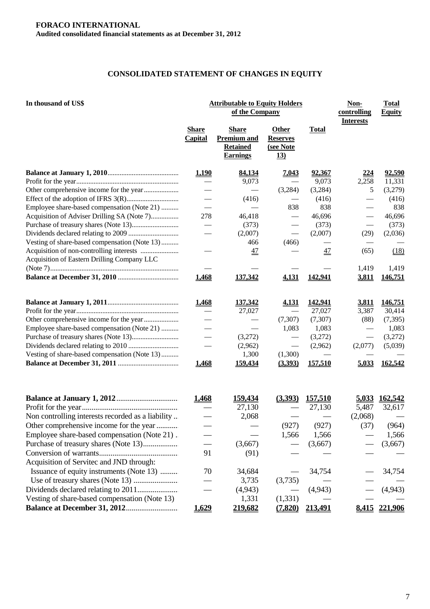# **CONSOLIDATED STATEMENT OF CHANGES IN EQUITY**

| In thousand of US\$                               | <b>Attributable to Equity Holders</b><br>of the Company |                                                                          |                                              |                                              | Non-<br>controlling<br><b>Interests</b> | <b>Total</b><br><b>Equity</b> |
|---------------------------------------------------|---------------------------------------------------------|--------------------------------------------------------------------------|----------------------------------------------|----------------------------------------------|-----------------------------------------|-------------------------------|
|                                                   | <b>Share</b><br>Capital                                 | <b>Share</b><br><b>Premium and</b><br><b>Retained</b><br><b>Earnings</b> | Other<br><b>Reserves</b><br>(see Note<br>13) | <b>Total</b>                                 |                                         |                               |
|                                                   | 1,190                                                   | 84,134                                                                   | 7,043                                        | 92,367                                       | 224                                     | 92,590                        |
|                                                   |                                                         | 9,073                                                                    |                                              | 9,073                                        | 2,258                                   | 11,331                        |
|                                                   |                                                         |                                                                          | (3,284)                                      | (3,284)                                      | 5                                       | (3,279)                       |
|                                                   | $\overline{\phantom{0}}$                                | (416)                                                                    |                                              | (416)                                        | $\overline{\phantom{0}}$                | (416)                         |
| Employee share-based compensation (Note 21)       |                                                         |                                                                          | 838                                          | 838                                          |                                         | 838                           |
| Acquisition of Adviser Drilling SA (Note 7)       | 278                                                     | 46,418                                                                   |                                              | 46,696                                       | $\overline{\phantom{0}}$                | 46,696                        |
|                                                   |                                                         | (373)                                                                    |                                              | (373)                                        | $\overline{\phantom{0}}$                | (373)                         |
| Vesting of share-based compensation (Note 13)     |                                                         | (2,007)<br>466                                                           | (466)                                        | (2,007)                                      | (29)                                    | (2,036)                       |
|                                                   |                                                         | 47                                                                       |                                              | $\frac{47}{1}$                               | (65)                                    | (18)                          |
| Acquisition of Eastern Drilling Company LLC       |                                                         |                                                                          |                                              |                                              |                                         |                               |
|                                                   |                                                         |                                                                          |                                              |                                              | 1,419                                   | 1,419                         |
|                                                   | 1,468                                                   | 137,342                                                                  | <u>4,131</u>                                 | 142,941                                      | 3,811                                   | <u>146,751</u>                |
|                                                   | 1,468                                                   | 137,342                                                                  | 4,131                                        | 142,941                                      | 3.811                                   | 146,751                       |
|                                                   | $\overline{\phantom{m}}$                                | 27,027                                                                   |                                              | 27,027                                       | 3,387                                   | 30,414                        |
| Other comprehensive income for the year           |                                                         |                                                                          | (7,307)                                      | (7, 307)                                     | (88)                                    | (7, 395)                      |
| Employee share-based compensation (Note 21)       |                                                         |                                                                          | 1,083                                        | 1,083                                        |                                         | 1,083                         |
|                                                   | $\overbrace{\phantom{aaaaa}}$                           | (3,272)                                                                  |                                              | (3,272)                                      |                                         | (3,272)                       |
|                                                   | $\overline{\phantom{m}}$                                | (2,962)                                                                  |                                              | (2,962)                                      | (2,077)                                 | (5,039)                       |
| Vesting of share-based compensation (Note 13)     | 1,468                                                   | 1,300<br>159,434                                                         | (1,300)<br>(3,393)                           | $\overbrace{\phantom{aaaaa}}^{x}$<br>157,510 | 5,033                                   | 162,542                       |
|                                                   |                                                         |                                                                          |                                              |                                              |                                         |                               |
|                                                   | 1,468                                                   | 159,434                                                                  | (3.393)                                      | 157,510                                      | 5,033                                   | 162,542                       |
|                                                   |                                                         | 27,130                                                                   |                                              | 27,130                                       | 5,487                                   | 32,617                        |
| Non controlling interests recorded as a liability |                                                         | 2,068                                                                    |                                              |                                              | (2,068)                                 |                               |
| Other comprehensive income for the year           |                                                         |                                                                          | (927)                                        | (927)                                        | (37)                                    | (964)                         |
| Employee share-based compensation (Note 21).      |                                                         |                                                                          | 1,566                                        | 1,566                                        |                                         | 1,566                         |
|                                                   | 91                                                      | (3,667)                                                                  |                                              | (3,667)                                      |                                         | (3,667)                       |
| Acquisition of Servitec and JND through:          |                                                         | (91)                                                                     |                                              |                                              |                                         |                               |
| Issuance of equity instruments (Note 13)          | 70                                                      | 34,684                                                                   |                                              | 34,754                                       |                                         | 34,754                        |
|                                                   |                                                         | 3,735                                                                    | (3,735)                                      |                                              |                                         |                               |
|                                                   |                                                         | (4,943)                                                                  |                                              | (4,943)                                      |                                         | (4,943)                       |
| Vesting of share-based compensation (Note 13)     |                                                         | 1,331                                                                    | (1, 331)                                     |                                              |                                         |                               |
| <b>Balance at December 31, 2012</b>               | 1,629                                                   | 219,682                                                                  | (7,820)                                      | <u>213,491</u>                               |                                         | 8,415 221,906                 |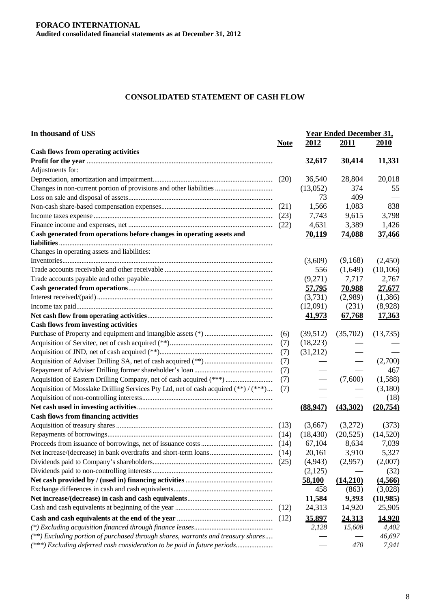# **CONSOLIDATED STATEMENT OF CASH FLOW**

| In thousand of US\$                                                                |             | <b>Year Ended December 31,</b> |               |             |
|------------------------------------------------------------------------------------|-------------|--------------------------------|---------------|-------------|
|                                                                                    | <b>Note</b> | 2012                           | <u>2011</u>   | <u>2010</u> |
| <b>Cash flows from operating activities</b>                                        |             |                                |               |             |
|                                                                                    |             | 32,617                         | 30,414        | 11,331      |
| Adjustments for:                                                                   |             |                                |               |             |
|                                                                                    | (20)        | 36,540                         | 28,804        | 20,018      |
| Changes in non-current portion of provisions and other liabilities                 |             | (13,052)                       | 374           | 55          |
|                                                                                    |             | 73                             | 409           |             |
|                                                                                    | (21)        | 1,566                          | 1,083         | 838         |
|                                                                                    | (23)        | 7,743                          | 9,615         | 3,798       |
|                                                                                    |             | 4,631                          | 3,389         | 1,426       |
| Cash generated from operations before changes in operating assets and              |             | 70,119                         | <b>74,088</b> | 37,466      |
| Changes in operating assets and liabilities:                                       |             |                                |               |             |
|                                                                                    |             | (3,609)                        | (9,168)       | (2,450)     |
|                                                                                    |             | 556                            | (1,649)       | (10, 106)   |
|                                                                                    |             | (9,271)                        | 7,717         | 2,767       |
|                                                                                    |             |                                |               | 27,677      |
|                                                                                    |             | <u>57,795</u>                  | <u>70,988</u> | (1, 386)    |
|                                                                                    |             | (3,731)                        | (2,989)       |             |
|                                                                                    |             | (12,091)                       | (231)         | (8,928)     |
|                                                                                    |             | <u>41,973</u>                  | 67,768        | 17,363      |
| <b>Cash flows from investing activities</b>                                        |             |                                |               |             |
|                                                                                    | (6)         | (39,512)                       | (35,702)      | (13,735)    |
|                                                                                    | (7)         | (18,223)                       |               |             |
|                                                                                    | (7)         | (31,212)                       |               |             |
|                                                                                    | (7)         |                                |               | (2,700)     |
|                                                                                    | (7)         |                                |               | 467         |
| Acquisition of Eastern Drilling Company, net of cash acquired (***)                | (7)         |                                | (7,600)       | (1,588)     |
| Acquisition of Mosslake Drilling Services Pty Ltd, net of cash acquired (**)/(***) | (7)         |                                |               | (3,180)     |
|                                                                                    |             |                                |               | (18)        |
|                                                                                    |             | (88, 947)                      | (43,302)      | (20,754)    |
| <b>Cash flows from financing activities</b>                                        |             |                                |               |             |
|                                                                                    |             | (3,667)                        | (3,272)       | (373)       |
|                                                                                    |             | (18, 430)                      | (20, 525)     | (14,520)    |
|                                                                                    |             | 67,104                         | 8,634         | 7,039       |
|                                                                                    |             | 20,161                         | 3,910         | 5,327       |
|                                                                                    |             | (4,943)                        | (2,957)       | (2,007)     |
|                                                                                    |             | (2,125)                        |               | (32)        |
|                                                                                    |             | <u>58,100</u>                  | (14,210)      | (4,566)     |
|                                                                                    |             | 458                            | (863)         | (3,028)     |
|                                                                                    |             | 11,584                         | 9,393         | (10,985)    |
|                                                                                    |             | 24,313                         | 14,920        | 25,905      |
|                                                                                    | (12)        | 35,897                         | 24,313        | 14,920      |
|                                                                                    |             | 2,128                          | 15,608        | 4,402       |
| (**) Excluding portion of purchased through shares, warrants and treasury shares   |             |                                |               | 46,697      |
| (***) Excluding deferred cash consideration to be paid in future periods           |             |                                | 470           | 7,941       |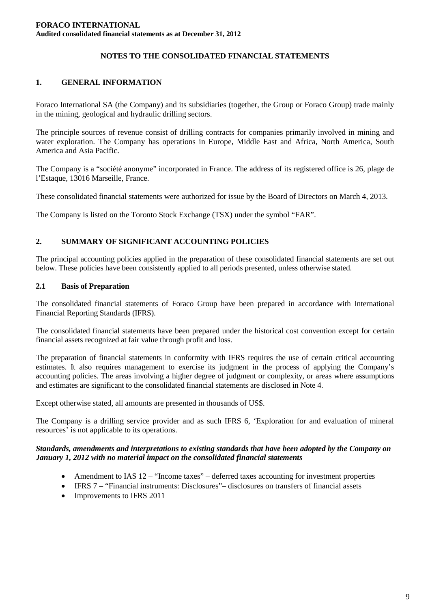# **NOTES TO THE CONSOLIDATED FINANCIAL STATEMENTS**

# **1. GENERAL INFORMATION**

Foraco International SA (the Company) and its subsidiaries (together, the Group or Foraco Group) trade mainly in the mining, geological and hydraulic drilling sectors.

The principle sources of revenue consist of drilling contracts for companies primarily involved in mining and water exploration. The Company has operations in Europe, Middle East and Africa, North America, South America and Asia Pacific.

The Company is a "société anonyme" incorporated in France. The address of its registered office is 26, plage de l'Estaque, 13016 Marseille, France.

These consolidated financial statements were authorized for issue by the Board of Directors on March 4, 2013.

The Company is listed on the Toronto Stock Exchange (TSX) under the symbol "FAR".

# **2. SUMMARY OF SIGNIFICANT ACCOUNTING POLICIES**

The principal accounting policies applied in the preparation of these consolidated financial statements are set out below. These policies have been consistently applied to all periods presented, unless otherwise stated.

#### **2.1 Basis of Preparation**

The consolidated financial statements of Foraco Group have been prepared in accordance with International Financial Reporting Standards (IFRS).

The consolidated financial statements have been prepared under the historical cost convention except for certain financial assets recognized at fair value through profit and loss.

The preparation of financial statements in conformity with IFRS requires the use of certain critical accounting estimates. It also requires management to exercise its judgment in the process of applying the Company's accounting policies. The areas involving a higher degree of judgment or complexity, or areas where assumptions and estimates are significant to the consolidated financial statements are disclosed in Note 4.

Except otherwise stated, all amounts are presented in thousands of US\$.

The Company is a drilling service provider and as such IFRS 6, 'Exploration for and evaluation of mineral resources' is not applicable to its operations.

#### *Standards, amendments and interpretations to existing standards that have been adopted by the Company on January 1, 2012 with no material impact on the consolidated financial statements*

- Amendment to IAS  $12 -$  "Income taxes" deferred taxes accounting for investment properties
- IFRS 7 "Financial instruments: Disclosures"– disclosures on transfers of financial assets
- Improvements to IFRS 2011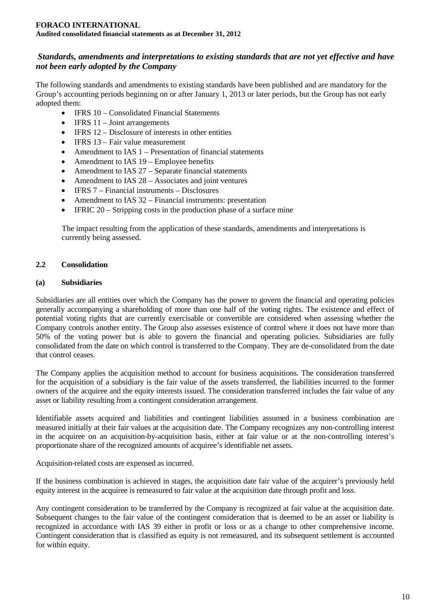# *Standards, amendments and interpretations to existing standards that are not yet effective and have not been early adopted by the Company*

The following standards and amendments to existing standards have been published and are mandatory for the Group's accounting periods beginning on or after January 1, 2013 or later periods, but the Group has not early adopted them:

- IFRS 10 Consolidated Financial Statements
- $\bullet$  IFRS 11 Joint arrangements
- IFRS 12 Disclosure of interests in other entities
- IFRS 13 Fair value measurement
- Amendment to IAS 1 Presentation of financial statements
- Amendment to IAS 19 Employee benefits
- Amendment to IAS 27 Separate financial statements
- Amendment to IAS 28 Associates and joint ventures
- IFRS 7 Financial instruments Disclosures
- Amendment to IAS 32 Financial instruments: presentation
- IFRIC 20 Stripping costs in the production phase of a surface mine

The impact resulting from the application of these standards, amendments and interpretations is currently being assessed.

# **2.2 Consolidation**

# **(a) Subsidiaries**

Subsidiaries are all entities over which the Company has the power to govern the financial and operating policies generally accompanying a shareholding of more than one half of the voting rights. The existence and effect of potential voting rights that are currently exercisable or convertible are considered when assessing whether the Company controls another entity. The Group also assesses existence of control where it does not have more than 50% of the voting power but is able to govern the financial and operating policies. Subsidiaries are fully consolidated from the date on which control is transferred to the Company. They are de-consolidated from the date that control ceases.

The Company applies the acquisition method to account for business acquisitions. The consideration transferred for the acquisition of a subsidiary is the fair value of the assets transferred, the liabilities incurred to the former owners of the acquiree and the equity interests issued. The consideration transferred includes the fair value of any asset or liability resulting from a contingent consideration arrangement.

Identifiable assets acquired and liabilities and contingent liabilities assumed in a business combination are measured initially at their fair values at the acquisition date. The Company recognizes any non-controlling interest in the acquiree on an acquisition-by-acquisition basis, either at fair value or at the non-controlling interest's proportionate share of the recognized amounts of acquiree's identifiable net assets.

Acquisition-related costs are expensed as incurred.

If the business combination is achieved in stages, the acquisition date fair value of the acquirer's previously held equity interest in the acquiree is remeasured to fair value at the acquisition date through profit and loss.

Any contingent consideration to be transferred by the Company is recognized at fair value at the acquisition date. Subsequent changes to the fair value of the contingent consideration that is deemed to be an asset or liability is recognized in accordance with IAS 39 either in profit or loss or as a change to other comprehensive income. Contingent consideration that is classified as equity is not remeasured, and its subsequent settlement is accounted for within equity.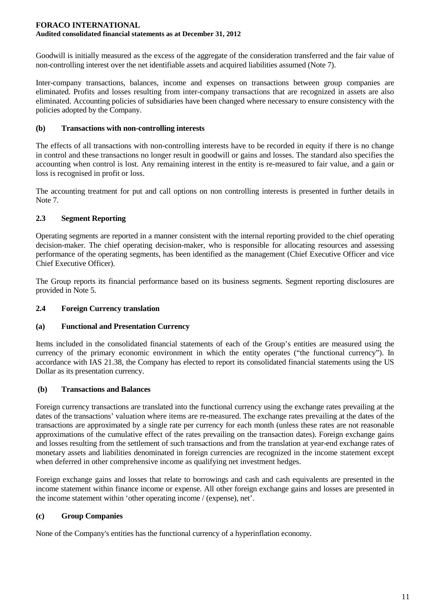Goodwill is initially measured as the excess of the aggregate of the consideration transferred and the fair value of non-controlling interest over the net identifiable assets and acquired liabilities assumed (Note 7).

Inter-company transactions, balances, income and expenses on transactions between group companies are eliminated. Profits and losses resulting from inter-company transactions that are recognized in assets are also eliminated. Accounting policies of subsidiaries have been changed where necessary to ensure consistency with the policies adopted by the Company.

# **(b) Transactions with non-controlling interests**

The effects of all transactions with non-controlling interests have to be recorded in equity if there is no change in control and these transactions no longer result in goodwill or gains and losses. The standard also specifies the accounting when control is lost. Any remaining interest in the entity is re-measured to fair value, and a gain or loss is recognised in profit or loss.

The accounting treatment for put and call options on non controlling interests is presented in further details in Note 7.

# **2.3 Segment Reporting**

Operating segments are reported in a manner consistent with the internal reporting provided to the chief operating decision-maker. The chief operating decision-maker, who is responsible for allocating resources and assessing performance of the operating segments, has been identified as the management (Chief Executive Officer and vice Chief Executive Officer).

The Group reports its financial performance based on its business segments. Segment reporting disclosures are provided in Note 5.

# **2.4 Foreign Currency translation**

# **(a) Functional and Presentation Currency**

Items included in the consolidated financial statements of each of the Group's entities are measured using the currency of the primary economic environment in which the entity operates ("the functional currency"). In accordance with IAS 21.38, the Company has elected to report its consolidated financial statements using the US Dollar as its presentation currency.

# **(b) Transactions and Balances**

Foreign currency transactions are translated into the functional currency using the exchange rates prevailing at the dates of the transactions' valuation where items are re-measured. The exchange rates prevailing at the dates of the transactions are approximated by a single rate per currency for each month (unless these rates are not reasonable approximations of the cumulative effect of the rates prevailing on the transaction dates). Foreign exchange gains and losses resulting from the settlement of such transactions and from the translation at year-end exchange rates of monetary assets and liabilities denominated in foreign currencies are recognized in the income statement except when deferred in other comprehensive income as qualifying net investment hedges.

Foreign exchange gains and losses that relate to borrowings and cash and cash equivalents are presented in the income statement within finance income or expense. All other foreign exchange gains and losses are presented in the income statement within 'other operating income / (expense), net'.

# **(c) Group Companies**

None of the Company's entities has the functional currency of a hyperinflation economy.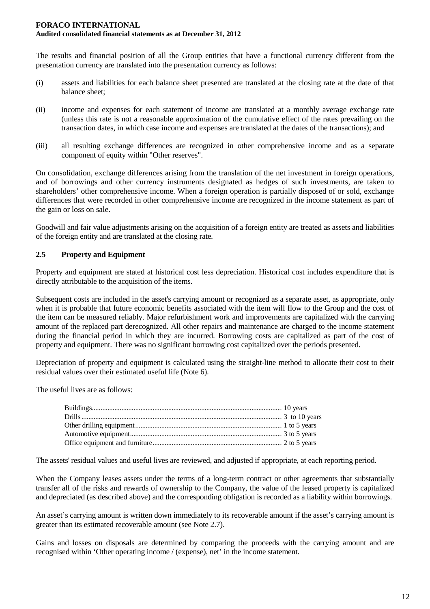The results and financial position of all the Group entities that have a functional currency different from the presentation currency are translated into the presentation currency as follows:

- (i) assets and liabilities for each balance sheet presented are translated at the closing rate at the date of that balance sheet;
- (ii) income and expenses for each statement of income are translated at a monthly average exchange rate (unless this rate is not a reasonable approximation of the cumulative effect of the rates prevailing on the transaction dates, in which case income and expenses are translated at the dates of the transactions); and
- (iii) all resulting exchange differences are recognized in other comprehensive income and as a separate component of equity within "Other reserves".

On consolidation, exchange differences arising from the translation of the net investment in foreign operations, and of borrowings and other currency instruments designated as hedges of such investments, are taken to shareholders' other comprehensive income. When a foreign operation is partially disposed of or sold, exchange differences that were recorded in other comprehensive income are recognized in the income statement as part of the gain or loss on sale.

Goodwill and fair value adjustments arising on the acquisition of a foreign entity are treated as assets and liabilities of the foreign entity and are translated at the closing rate.

# **2.5 Property and Equipment**

Property and equipment are stated at historical cost less depreciation. Historical cost includes expenditure that is directly attributable to the acquisition of the items.

Subsequent costs are included in the asset's carrying amount or recognized as a separate asset, as appropriate, only when it is probable that future economic benefits associated with the item will flow to the Group and the cost of the item can be measured reliably. Major refurbishment work and improvements are capitalized with the carrying amount of the replaced part derecognized. All other repairs and maintenance are charged to the income statement during the financial period in which they are incurred. Borrowing costs are capitalized as part of the cost of property and equipment. There was no significant borrowing cost capitalized over the periods presented.

Depreciation of property and equipment is calculated using the straight-line method to allocate their cost to their residual values over their estimated useful life (Note 6).

The useful lives are as follows:

The assets' residual values and useful lives are reviewed, and adjusted if appropriate, at each reporting period.

When the Company leases assets under the terms of a long-term contract or other agreements that substantially transfer all of the risks and rewards of ownership to the Company, the value of the leased property is capitalized and depreciated (as described above) and the corresponding obligation is recorded as a liability within borrowings.

An asset's carrying amount is written down immediately to its recoverable amount if the asset's carrying amount is greater than its estimated recoverable amount (see Note 2.7).

Gains and losses on disposals are determined by comparing the proceeds with the carrying amount and are recognised within 'Other operating income / (expense), net' in the income statement.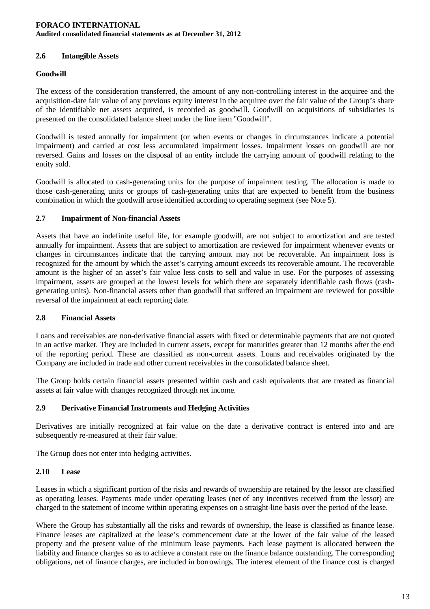# **2.6 Intangible Assets**

# **Goodwill**

The excess of the consideration transferred, the amount of any non-controlling interest in the acquiree and the acquisition-date fair value of any previous equity interest in the acquiree over the fair value of the Group's share of the identifiable net assets acquired, is recorded as goodwill. Goodwill on acquisitions of subsidiaries is presented on the consolidated balance sheet under the line item "Goodwill".

Goodwill is tested annually for impairment (or when events or changes in circumstances indicate a potential impairment) and carried at cost less accumulated impairment losses. Impairment losses on goodwill are not reversed. Gains and losses on the disposal of an entity include the carrying amount of goodwill relating to the entity sold.

Goodwill is allocated to cash-generating units for the purpose of impairment testing. The allocation is made to those cash-generating units or groups of cash-generating units that are expected to benefit from the business combination in which the goodwill arose identified according to operating segment (see Note 5).

# **2.7 Impairment of Non-financial Assets**

Assets that have an indefinite useful life, for example goodwill, are not subject to amortization and are tested annually for impairment. Assets that are subject to amortization are reviewed for impairment whenever events or changes in circumstances indicate that the carrying amount may not be recoverable. An impairment loss is recognized for the amount by which the asset's carrying amount exceeds its recoverable amount. The recoverable amount is the higher of an asset's fair value less costs to sell and value in use. For the purposes of assessing impairment, assets are grouped at the lowest levels for which there are separately identifiable cash flows (cashgenerating units). Non-financial assets other than goodwill that suffered an impairment are reviewed for possible reversal of the impairment at each reporting date.

# **2.8 Financial Assets**

Loans and receivables are non-derivative financial assets with fixed or determinable payments that are not quoted in an active market. They are included in current assets, except for maturities greater than 12 months after the end of the reporting period. These are classified as non-current assets. Loans and receivables originated by the Company are included in trade and other current receivables in the consolidated balance sheet.

The Group holds certain financial assets presented within cash and cash equivalents that are treated as financial assets at fair value with changes recognized through net income.

# **2.9 Derivative Financial Instruments and Hedging Activities**

Derivatives are initially recognized at fair value on the date a derivative contract is entered into and are subsequently re-measured at their fair value.

The Group does not enter into hedging activities.

# **2.10 Lease**

Leases in which a significant portion of the risks and rewards of ownership are retained by the lessor are classified as operating leases. Payments made under operating leases (net of any incentives received from the lessor) are charged to the statement of income within operating expenses on a straight-line basis over the period of the lease.

Where the Group has substantially all the risks and rewards of ownership, the lease is classified as finance lease. Finance leases are capitalized at the lease's commencement date at the lower of the fair value of the leased property and the present value of the minimum lease payments. Each lease payment is allocated between the liability and finance charges so as to achieve a constant rate on the finance balance outstanding. The corresponding obligations, net of finance charges, are included in borrowings. The interest element of the finance cost is charged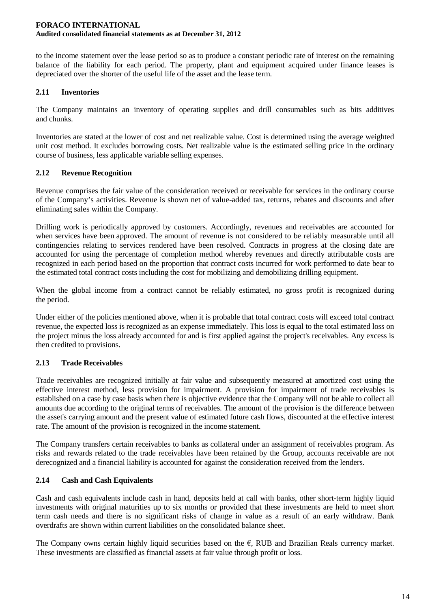to the income statement over the lease period so as to produce a constant periodic rate of interest on the remaining balance of the liability for each period. The property, plant and equipment acquired under finance leases is depreciated over the shorter of the useful life of the asset and the lease term.

# **2.11 Inventories**

The Company maintains an inventory of operating supplies and drill consumables such as bits additives and chunks.

Inventories are stated at the lower of cost and net realizable value. Cost is determined using the average weighted unit cost method. It excludes borrowing costs. Net realizable value is the estimated selling price in the ordinary course of business, less applicable variable selling expenses.

# **2.12 Revenue Recognition**

Revenue comprises the fair value of the consideration received or receivable for services in the ordinary course of the Company's activities. Revenue is shown net of value-added tax, returns, rebates and discounts and after eliminating sales within the Company.

Drilling work is periodically approved by customers. Accordingly, revenues and receivables are accounted for when services have been approved. The amount of revenue is not considered to be reliably measurable until all contingencies relating to services rendered have been resolved. Contracts in progress at the closing date are accounted for using the percentage of completion method whereby revenues and directly attributable costs are recognized in each period based on the proportion that contract costs incurred for work performed to date bear to the estimated total contract costs including the cost for mobilizing and demobilizing drilling equipment.

When the global income from a contract cannot be reliably estimated, no gross profit is recognized during the period.

Under either of the policies mentioned above, when it is probable that total contract costs will exceed total contract revenue, the expected loss is recognized as an expense immediately. This loss is equal to the total estimated loss on the project minus the loss already accounted for and is first applied against the project's receivables. Any excess is then credited to provisions.

# **2.13 Trade Receivables**

Trade receivables are recognized initially at fair value and subsequently measured at amortized cost using the effective interest method, less provision for impairment. A provision for impairment of trade receivables is established on a case by case basis when there is objective evidence that the Company will not be able to collect all amounts due according to the original terms of receivables. The amount of the provision is the difference between the asset's carrying amount and the present value of estimated future cash flows, discounted at the effective interest rate. The amount of the provision is recognized in the income statement.

The Company transfers certain receivables to banks as collateral under an assignment of receivables program. As risks and rewards related to the trade receivables have been retained by the Group, accounts receivable are not derecognized and a financial liability is accounted for against the consideration received from the lenders.

# **2.14 Cash and Cash Equivalents**

Cash and cash equivalents include cash in hand, deposits held at call with banks, other short-term highly liquid investments with original maturities up to six months or provided that these investments are held to meet short term cash needs and there is no significant risks of change in value as a result of an early withdraw. Bank overdrafts are shown within current liabilities on the consolidated balance sheet.

The Company owns certain highly liquid securities based on the  $\epsilon$ , RUB and Brazilian Reals currency market. These investments are classified as financial assets at fair value through profit or loss.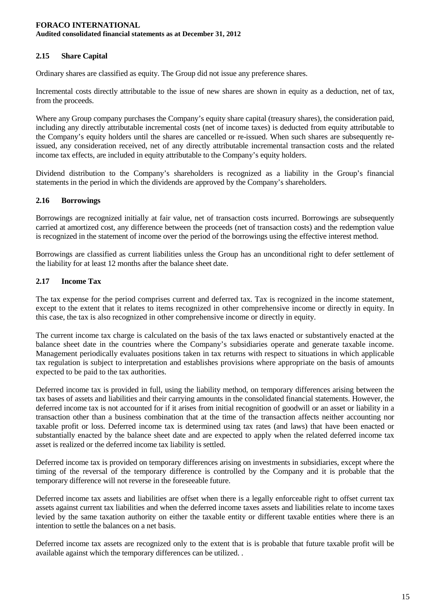# **2.15 Share Capital**

Ordinary shares are classified as equity. The Group did not issue any preference shares.

Incremental costs directly attributable to the issue of new shares are shown in equity as a deduction, net of tax, from the proceeds.

Where any Group company purchases the Company's equity share capital (treasury shares), the consideration paid, including any directly attributable incremental costs (net of income taxes) is deducted from equity attributable to the Company's equity holders until the shares are cancelled or re-issued. When such shares are subsequently reissued, any consideration received, net of any directly attributable incremental transaction costs and the related income tax effects, are included in equity attributable to the Company's equity holders.

Dividend distribution to the Company's shareholders is recognized as a liability in the Group's financial statements in the period in which the dividends are approved by the Company's shareholders.

# **2.16 Borrowings**

Borrowings are recognized initially at fair value, net of transaction costs incurred. Borrowings are subsequently carried at amortized cost, any difference between the proceeds (net of transaction costs) and the redemption value is recognized in the statement of income over the period of the borrowings using the effective interest method.

Borrowings are classified as current liabilities unless the Group has an unconditional right to defer settlement of the liability for at least 12 months after the balance sheet date.

# **2.17 Income Tax**

The tax expense for the period comprises current and deferred tax. Tax is recognized in the income statement, except to the extent that it relates to items recognized in other comprehensive income or directly in equity. In this case, the tax is also recognized in other comprehensive income or directly in equity.

The current income tax charge is calculated on the basis of the tax laws enacted or substantively enacted at the balance sheet date in the countries where the Company's subsidiaries operate and generate taxable income. Management periodically evaluates positions taken in tax returns with respect to situations in which applicable tax regulation is subject to interpretation and establishes provisions where appropriate on the basis of amounts expected to be paid to the tax authorities.

Deferred income tax is provided in full, using the liability method, on temporary differences arising between the tax bases of assets and liabilities and their carrying amounts in the consolidated financial statements. However, the deferred income tax is not accounted for if it arises from initial recognition of goodwill or an asset or liability in a transaction other than a business combination that at the time of the transaction affects neither accounting nor taxable profit or loss. Deferred income tax is determined using tax rates (and laws) that have been enacted or substantially enacted by the balance sheet date and are expected to apply when the related deferred income tax asset is realized or the deferred income tax liability is settled.

Deferred income tax is provided on temporary differences arising on investments in subsidiaries, except where the timing of the reversal of the temporary difference is controlled by the Company and it is probable that the temporary difference will not reverse in the foreseeable future.

Deferred income tax assets and liabilities are offset when there is a legally enforceable right to offset current tax assets against current tax liabilities and when the deferred income taxes assets and liabilities relate to income taxes levied by the same taxation authority on either the taxable entity or different taxable entities where there is an intention to settle the balances on a net basis.

Deferred income tax assets are recognized only to the extent that is is probable that future taxable profit will be available against which the temporary differences can be utilized. .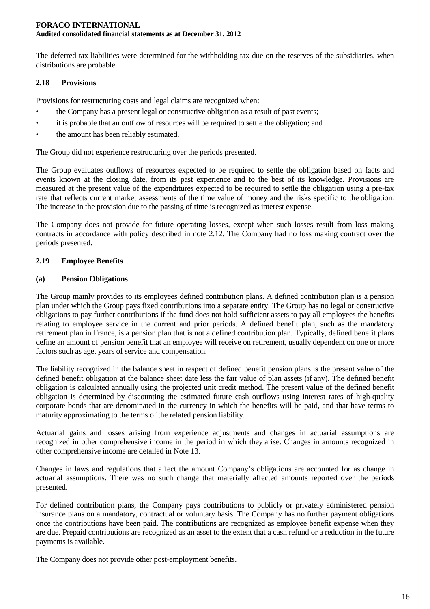The deferred tax liabilities were determined for the withholding tax due on the reserves of the subsidiaries, when distributions are probable.

# **2.18 Provisions**

Provisions for restructuring costs and legal claims are recognized when:

- the Company has a present legal or constructive obligation as a result of past events;
- it is probable that an outflow of resources will be required to settle the obligation; and
- the amount has been reliably estimated.

The Group did not experience restructuring over the periods presented.

The Group evaluates outflows of resources expected to be required to settle the obligation based on facts and events known at the closing date, from its past experience and to the best of its knowledge. Provisions are measured at the present value of the expenditures expected to be required to settle the obligation using a pre-tax rate that reflects current market assessments of the time value of money and the risks specific to the obligation. The increase in the provision due to the passing of time is recognized as interest expense.

The Company does not provide for future operating losses, except when such losses result from loss making contracts in accordance with policy described in note 2.12. The Company had no loss making contract over the periods presented.

# **2.19 Employee Benefits**

# **(a) Pension Obligations**

The Group mainly provides to its employees defined contribution plans. A defined contribution plan is a pension plan under which the Group pays fixed contributions into a separate entity. The Group has no legal or constructive obligations to pay further contributions if the fund does not hold sufficient assets to pay all employees the benefits relating to employee service in the current and prior periods. A defined benefit plan, such as the mandatory retirement plan in France, is a pension plan that is not a defined contribution plan. Typically, defined benefit plans define an amount of pension benefit that an employee will receive on retirement, usually dependent on one or more factors such as age, years of service and compensation.

The liability recognized in the balance sheet in respect of defined benefit pension plans is the present value of the defined benefit obligation at the balance sheet date less the fair value of plan assets (if any). The defined benefit obligation is calculated annually using the projected unit credit method. The present value of the defined benefit obligation is determined by discounting the estimated future cash outflows using interest rates of high-quality corporate bonds that are denominated in the currency in which the benefits will be paid, and that have terms to maturity approximating to the terms of the related pension liability.

Actuarial gains and losses arising from experience adjustments and changes in actuarial assumptions are recognized in other comprehensive income in the period in which they arise. Changes in amounts recognized in other comprehensive income are detailed in Note 13.

Changes in laws and regulations that affect the amount Company's obligations are accounted for as change in actuarial assumptions. There was no such change that materially affected amounts reported over the periods presented.

For defined contribution plans, the Company pays contributions to publicly or privately administered pension insurance plans on a mandatory, contractual or voluntary basis. The Company has no further payment obligations once the contributions have been paid. The contributions are recognized as employee benefit expense when they are due. Prepaid contributions are recognized as an asset to the extent that a cash refund or a reduction in the future payments is available.

The Company does not provide other post-employment benefits.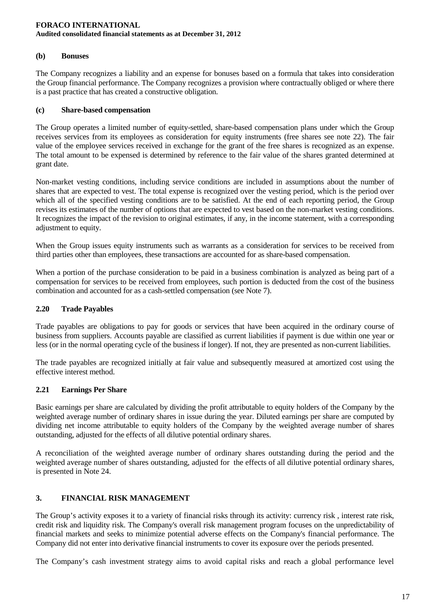# **(b) Bonuses**

The Company recognizes a liability and an expense for bonuses based on a formula that takes into consideration the Group financial performance. The Company recognizes a provision where contractually obliged or where there is a past practice that has created a constructive obligation.

#### **(c) Share-based compensation**

The Group operates a limited number of equity-settled, share-based compensation plans under which the Group receives services from its employees as consideration for equity instruments (free shares see note 22). The fair value of the employee services received in exchange for the grant of the free shares is recognized as an expense. The total amount to be expensed is determined by reference to the fair value of the shares granted determined at grant date.

Non-market vesting conditions, including service conditions are included in assumptions about the number of shares that are expected to vest. The total expense is recognized over the vesting period, which is the period over which all of the specified vesting conditions are to be satisfied. At the end of each reporting period, the Group revises its estimates of the number of options that are expected to vest based on the non-market vesting conditions. It recognizes the impact of the revision to original estimates, if any, in the income statement, with a corresponding adjustment to equity.

When the Group issues equity instruments such as warrants as a consideration for services to be received from third parties other than employees, these transactions are accounted for as share-based compensation.

When a portion of the purchase consideration to be paid in a business combination is analyzed as being part of a compensation for services to be received from employees, such portion is deducted from the cost of the business combination and accounted for as a cash-settled compensation (see Note 7).

#### **2.20 Trade Payables**

Trade payables are obligations to pay for goods or services that have been acquired in the ordinary course of business from suppliers. Accounts payable are classified as current liabilities if payment is due within one year or less (or in the normal operating cycle of the business if longer). If not, they are presented as non-current liabilities.

The trade payables are recognized initially at fair value and subsequently measured at amortized cost using the effective interest method.

# **2.21 Earnings Per Share**

Basic earnings per share are calculated by dividing the profit attributable to equity holders of the Company by the weighted average number of ordinary shares in issue during the year. Diluted earnings per share are computed by dividing net income attributable to equity holders of the Company by the weighted average number of shares outstanding, adjusted for the effects of all dilutive potential ordinary shares.

A reconciliation of the weighted average number of ordinary shares outstanding during the period and the weighted average number of shares outstanding, adjusted for the effects of all dilutive potential ordinary shares, is presented in Note 24.

# **3. FINANCIAL RISK MANAGEMENT**

The Group's activity exposes it to a variety of financial risks through its activity: currency risk , interest rate risk, credit risk and liquidity risk. The Company's overall risk management program focuses on the unpredictability of financial markets and seeks to minimize potential adverse effects on the Company's financial performance. The Company did not enter into derivative financial instruments to cover its exposure over the periods presented.

The Company's cash investment strategy aims to avoid capital risks and reach a global performance level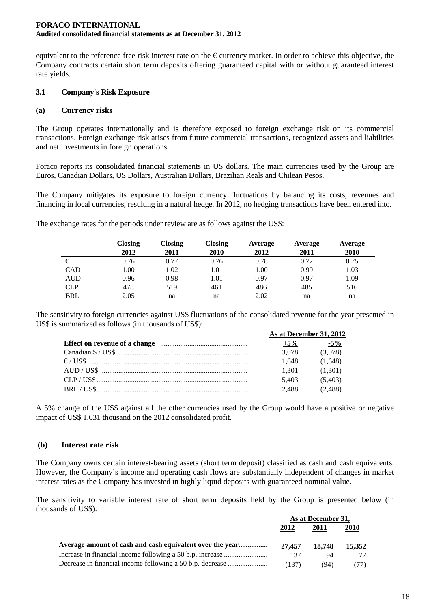equivalent to the reference free risk interest rate on the  $\epsilon$  currency market. In order to achieve this objective, the Company contracts certain short term deposits offering guaranteed capital with or without guaranteed interest rate yields.

# **3.1 Company's Risk Exposure**

#### **(a) Currency risks**

The Group operates internationally and is therefore exposed to foreign exchange risk on its commercial transactions. Foreign exchange risk arises from future commercial transactions, recognized assets and liabilities and net investments in foreign operations.

Foraco reports its consolidated financial statements in US dollars. The main currencies used by the Group are Euros, Canadian Dollars, US Dollars, Australian Dollars, Brazilian Reals and Chilean Pesos.

The Company mitigates its exposure to foreign currency fluctuations by balancing its costs, revenues and financing in local currencies, resulting in a natural hedge. In 2012, no hedging transactions have been entered into.

The exchange rates for the periods under review are as follows against the US\$:

|            | <b>Closing</b> | <b>Closing</b> | <b>Closing</b> | Average | Average | Average |
|------------|----------------|----------------|----------------|---------|---------|---------|
|            | 2012           | 2011           | 2010           | 2012    | 2011    | 2010    |
| €          | 0.76           | 0.77           | 0.76           | 0.78    | 0.72    | 0.75    |
| <b>CAD</b> | 1.00           | 1.02           | 1.01           | 00.1    | 0.99    | 1.03    |
| <b>AUD</b> | 0.96           | 0.98           | 1.01           | 0.97    | 0.97    | 1.09    |
| <b>CLP</b> | 478            | 519            | 461            | 486     | 485     | 516     |
| <b>BRL</b> | 2.05           | na             | na             | 2.02    | na      | na      |

The sensitivity to foreign currencies against US\$ fluctuations of the consolidated revenue for the year presented in US\$ is summarized as follows (in thousands of US\$):

| As at December 31, 2012 |               |  |  |
|-------------------------|---------------|--|--|
|                         | $+5\%$ $-5\%$ |  |  |
|                         | 3.078 (3.078) |  |  |
| 1.648                   | (1,648)       |  |  |
| 1.301                   | (1.301)       |  |  |
| 5.403                   | (5,403)       |  |  |
| 2.488                   | (2,488)       |  |  |

A 5% change of the US\$ against all the other currencies used by the Group would have a positive or negative impact of US\$ 1,631 thousand on the 2012 consolidated profit.

# **(b) Interest rate risk**

The Company owns certain interest-bearing assets (short term deposit) classified as cash and cash equivalents. However, the Company's income and operating cash flows are substantially independent of changes in market interest rates as the Company has invested in highly liquid deposits with guaranteed nominal value.

The sensitivity to variable interest rate of short term deposits held by the Group is presented below (in thousands of US\$):

|                                                           |        | As at December 31, |             |
|-----------------------------------------------------------|--------|--------------------|-------------|
|                                                           | 2012   | 2011               | <b>2010</b> |
| Average amount of cash and cash equivalent over the vear  | 27.457 | 18.748             | 15,352      |
| Increase in financial income following a 50 b.p. increase | 137    | 94                 |             |
| Decrease in financial income following a 50 b.p. decrease | (137)  | (94)               |             |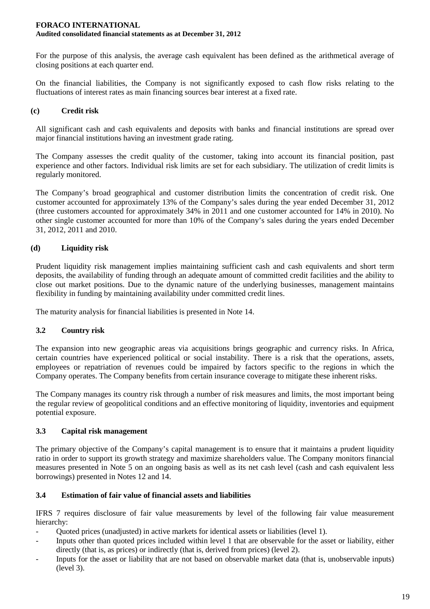For the purpose of this analysis, the average cash equivalent has been defined as the arithmetical average of closing positions at each quarter end.

On the financial liabilities, the Company is not significantly exposed to cash flow risks relating to the fluctuations of interest rates as main financing sources bear interest at a fixed rate.

# **(c) Credit risk**

All significant cash and cash equivalents and deposits with banks and financial institutions are spread over major financial institutions having an investment grade rating.

The Company assesses the credit quality of the customer, taking into account its financial position, past experience and other factors. Individual risk limits are set for each subsidiary. The utilization of credit limits is regularly monitored.

The Company's broad geographical and customer distribution limits the concentration of credit risk. One customer accounted for approximately 13% of the Company's sales during the year ended December 31, 2012 (three customers accounted for approximately 34% in 2011 and one customer accounted for 14% in 2010). No other single customer accounted for more than 10% of the Company's sales during the years ended December 31, 2012, 2011 and 2010.

# **(d) Liquidity risk**

Prudent liquidity risk management implies maintaining sufficient cash and cash equivalents and short term deposits, the availability of funding through an adequate amount of committed credit facilities and the ability to close out market positions. Due to the dynamic nature of the underlying businesses, management maintains flexibility in funding by maintaining availability under committed credit lines.

The maturity analysis for financial liabilities is presented in Note 14.

# **3.2 Country risk**

The expansion into new geographic areas via acquisitions brings geographic and currency risks. In Africa, certain countries have experienced political or social instability. There is a risk that the operations, assets, employees or repatriation of revenues could be impaired by factors specific to the regions in which the Company operates. The Company benefits from certain insurance coverage to mitigate these inherent risks.

The Company manages its country risk through a number of risk measures and limits, the most important being the regular review of geopolitical conditions and an effective monitoring of liquidity, inventories and equipment potential exposure.

# **3.3 Capital risk management**

The primary objective of the Company's capital management is to ensure that it maintains a prudent liquidity ratio in order to support its growth strategy and maximize shareholders value. The Company monitors financial measures presented in Note 5 on an ongoing basis as well as its net cash level (cash and cash equivalent less borrowings) presented in Notes 12 and 14.

# **3.4 Estimation of fair value of financial assets and liabilities**

IFRS 7 requires disclosure of fair value measurements by level of the following fair value measurement hierarchy:

- Quoted prices (unadjusted) in active markets for identical assets or liabilities (level 1).
- Inputs other than quoted prices included within level 1 that are observable for the asset or liability, either directly (that is, as prices) or indirectly (that is, derived from prices) (level 2).
- Inputs for the asset or liability that are not based on observable market data (that is, unobservable inputs) (level 3).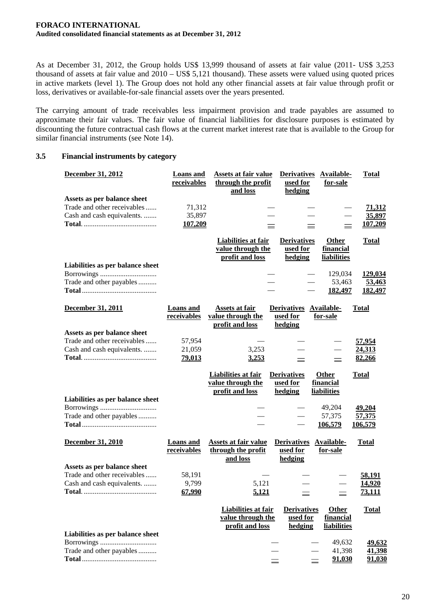As at December 31, 2012, the Group holds US\$ 13,999 thousand of assets at fair value (2011- US\$ 3,253 thousand of assets at fair value and 2010 – US\$ 5,121 thousand). These assets were valued using quoted prices in active markets (level 1). The Group does not hold any other financial assets at fair value through profit or loss, derivatives or available-for-sale financial assets over the years presented.

The carrying amount of trade receivables less impairment provision and trade payables are assumed to approximate their fair values. The fair value of financial liabilities for disclosure purposes is estimated by discounting the future contractual cash flows at the current market interest rate that is available to the Group for similar financial instruments (see Note 14).

#### **3.5 Financial instruments by category**

| December 31, 2012                                | <b>Loans</b> and                | <b>Assets at fair value</b>                                        |                                           | Derivatives Available-                          | <b>Total</b> |
|--------------------------------------------------|---------------------------------|--------------------------------------------------------------------|-------------------------------------------|-------------------------------------------------|--------------|
|                                                  | receivables                     | through the profit                                                 | used for                                  | for-sale                                        |              |
|                                                  |                                 | and loss                                                           | hedging                                   |                                                 |              |
| Assets as per balance sheet                      |                                 |                                                                    |                                           |                                                 |              |
| Trade and other receivables                      | 71,312                          |                                                                    |                                           |                                                 | 71,312       |
| Cash and cash equivalents.                       | 35,897                          |                                                                    |                                           |                                                 | 35,897       |
|                                                  | 107,209                         |                                                                    |                                           |                                                 | 107,209      |
|                                                  |                                 | <b>Liabilities at fair</b><br>value through the<br>profit and loss | <b>Derivatives</b><br>used for<br>hedging | Other<br><b>financial</b><br><b>liabilities</b> | <b>Total</b> |
| Liabilities as per balance sheet                 |                                 |                                                                    |                                           |                                                 |              |
|                                                  |                                 |                                                                    |                                           | 129,034                                         | 129,034      |
| Trade and other payables                         |                                 |                                                                    |                                           | 53,463                                          | 53,463       |
|                                                  |                                 |                                                                    |                                           | 182,497                                         | 182,497      |
| December 31, 2011<br>Assets as per balance sheet | <b>Loans</b> and<br>receivables | <b>Assets at fair</b><br>value through the<br>profit and loss      | <b>Derivatives</b><br>used for<br>hedging | <b>Available-</b><br>for-sale                   | <b>Total</b> |
| Trade and other receivables                      | 57,954                          |                                                                    |                                           |                                                 | 57,954       |
| Cash and cash equivalents.                       | 21,059                          | 3,253                                                              |                                           |                                                 | 24,313       |
|                                                  | 79,013                          | 3,253                                                              |                                           |                                                 | 82,266       |
|                                                  |                                 |                                                                    | $\equiv$                                  | $\equiv$                                        |              |
| Liabilities as per balance sheet                 |                                 | <b>Liabilities at fair</b><br>value through the<br>profit and loss | <b>Derivatives</b><br>used for<br>hedging | Other<br>financial<br><b>liabilities</b>        | Total        |
|                                                  |                                 |                                                                    |                                           | 49,204                                          | 49,204       |
| Trade and other payables                         |                                 |                                                                    | $\overline{\phantom{0}}$                  | 57,375                                          | 57,375       |
|                                                  |                                 |                                                                    |                                           | 106,579                                         | 106,579      |
|                                                  |                                 |                                                                    |                                           |                                                 |              |
| December 31, 2010                                | <b>Loans</b> and<br>receivables | <b>Assets at fair value</b><br>through the profit<br>and loss      | <b>Derivatives</b><br>used for<br>hedging | <b>Available-</b><br>for-sale                   | <b>Total</b> |
| Assets as per balance sheet                      |                                 |                                                                    |                                           |                                                 |              |
| Trade and other receivables                      | 58,191                          |                                                                    |                                           |                                                 | 58,191       |
| Cash and cash equivalents.                       | 9,799                           | 5,121                                                              |                                           |                                                 | 14,920       |
|                                                  | 67,990                          | 5.121                                                              |                                           |                                                 | 73,111       |
|                                                  |                                 | <b>Liabilities at fair</b><br>value through the                    | <b>Derivatives</b><br>used for            | <b>Other</b><br>financial                       | <b>Total</b> |
|                                                  |                                 | profit and loss                                                    | hedging                                   | liabilities                                     |              |
| Liabilities as per balance sheet                 |                                 |                                                                    |                                           |                                                 |              |
|                                                  |                                 |                                                                    |                                           | 49,632                                          | 49,632       |
| Trade and other payables                         |                                 |                                                                    |                                           | 41,398                                          | 41,398       |
|                                                  |                                 |                                                                    |                                           | 91,030                                          | 91,030       |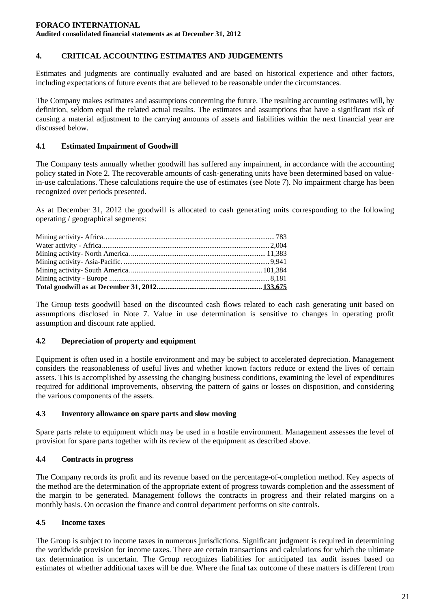# **4. CRITICAL ACCOUNTING ESTIMATES AND JUDGEMENTS**

Estimates and judgments are continually evaluated and are based on historical experience and other factors, including expectations of future events that are believed to be reasonable under the circumstances.

The Company makes estimates and assumptions concerning the future. The resulting accounting estimates will, by definition, seldom equal the related actual results. The estimates and assumptions that have a significant risk of causing a material adjustment to the carrying amounts of assets and liabilities within the next financial year are discussed below.

# **4.1 Estimated Impairment of Goodwill**

The Company tests annually whether goodwill has suffered any impairment, in accordance with the accounting policy stated in Note 2. The recoverable amounts of cash-generating units have been determined based on valuein-use calculations. These calculations require the use of estimates (see Note 7). No impairment charge has been recognized over periods presented.

As at December 31, 2012 the goodwill is allocated to cash generating units corresponding to the following operating / geographical segments:

The Group tests goodwill based on the discounted cash flows related to each cash generating unit based on assumptions disclosed in Note 7. Value in use determination is sensitive to changes in operating profit assumption and discount rate applied.

# **4.2 Depreciation of property and equipment**

Equipment is often used in a hostile environment and may be subject to accelerated depreciation. Management considers the reasonableness of useful lives and whether known factors reduce or extend the lives of certain assets. This is accomplished by assessing the changing business conditions, examining the level of expenditures required for additional improvements, observing the pattern of gains or losses on disposition, and considering the various components of the assets.

#### **4.3 Inventory allowance on spare parts and slow moving**

Spare parts relate to equipment which may be used in a hostile environment. Management assesses the level of provision for spare parts together with its review of the equipment as described above.

#### **4.4 Contracts in progress**

The Company records its profit and its revenue based on the percentage-of-completion method. Key aspects of the method are the determination of the appropriate extent of progress towards completion and the assessment of the margin to be generated. Management follows the contracts in progress and their related margins on a monthly basis. On occasion the finance and control department performs on site controls.

# **4.5 Income taxes**

The Group is subject to income taxes in numerous jurisdictions. Significant judgment is required in determining the worldwide provision for income taxes. There are certain transactions and calculations for which the ultimate tax determination is uncertain. The Group recognizes liabilities for anticipated tax audit issues based on estimates of whether additional taxes will be due. Where the final tax outcome of these matters is different from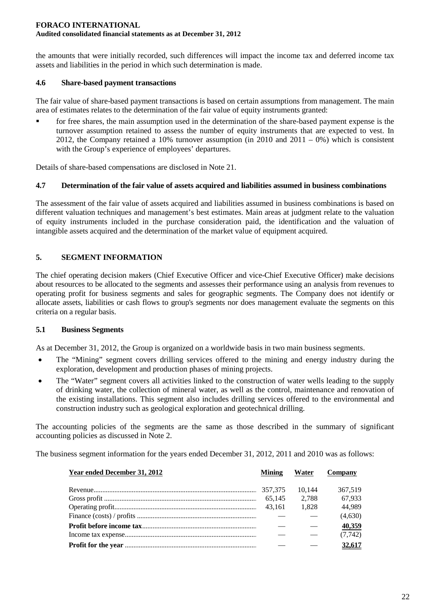the amounts that were initially recorded, such differences will impact the income tax and deferred income tax assets and liabilities in the period in which such determination is made.

# **4.6 Share-based payment transactions**

The fair value of share-based payment transactions is based on certain assumptions from management. The main area of estimates relates to the determination of the fair value of equity instruments granted:

 for free shares, the main assumption used in the determination of the share-based payment expense is the turnover assumption retained to assess the number of equity instruments that are expected to vest. In 2012, the Company retained a 10% turnover assumption (in 2010 and  $2011 - 0\%$ ) which is consistent with the Group's experience of employees' departures.

Details of share-based compensations are disclosed in Note 21.

#### **4.7 Determination of the fair value of assets acquired and liabilities assumed in business combinations**

The assessment of the fair value of assets acquired and liabilities assumed in business combinations is based on different valuation techniques and management's best estimates. Main areas at judgment relate to the valuation of equity instruments included in the purchase consideration paid, the identification and the valuation of intangible assets acquired and the determination of the market value of equipment acquired.

# **5. SEGMENT INFORMATION**

The chief operating decision makers (Chief Executive Officer and vice-Chief Executive Officer) make decisions about resources to be allocated to the segments and assesses their performance using an analysis from revenues to operating profit for business segments and sales for geographic segments. The Company does not identify or allocate assets, liabilities or cash flows to group's segments nor does management evaluate the segments on this criteria on a regular basis.

# **5.1 Business Segments**

As at December 31, 2012, the Group is organized on a worldwide basis in two main business segments.

- The "Mining" segment covers drilling services offered to the mining and energy industry during the exploration, development and production phases of mining projects.
- The "Water" segment covers all activities linked to the construction of water wells leading to the supply of drinking water, the collection of mineral water, as well as the control, maintenance and renovation of the existing installations. This segment also includes drilling services offered to the environmental and construction industry such as geological exploration and geotechnical drilling.

The accounting policies of the segments are the same as those described in the summary of significant accounting policies as discussed in Note 2.

The business segment information for the years ended December 31, 2012, 2011 and 2010 was as follows:

| <b>Year ended December 31, 2012</b> | <b>Mining</b> | Water  | Company  |
|-------------------------------------|---------------|--------|----------|
|                                     |               | 10.144 | 367.519  |
|                                     | 65.145        | 2.788  | 67.933   |
|                                     | 43.161        | 1.828  | 44,989   |
|                                     |               |        | (4,630)  |
|                                     |               |        | 40,359   |
|                                     |               |        | (7, 742) |
|                                     |               |        | 32.617   |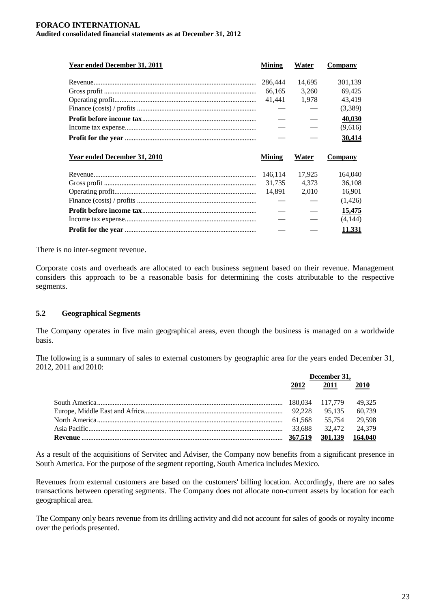| Year ended December 31, 2011 | <b>Mining</b> | Water  | Company                      |
|------------------------------|---------------|--------|------------------------------|
|                              | 286,444       | 14.695 | 301.139                      |
|                              | 66.165        | 3,260  | 69,425                       |
|                              | 41,441        | 1,978  | 43,419                       |
|                              |               |        | (3,389)                      |
|                              |               |        | 40,030                       |
|                              |               |        | (9,616)                      |
|                              |               |        | 30,414                       |
|                              |               |        |                              |
| Year ended December 31, 2010 | <b>Mining</b> | Water  | Company                      |
|                              | 146.114       | 17.925 | 164,040                      |
|                              | 31.735        | 4.373  | 36,108                       |
|                              | 14,891        | 2,010  | 16,901                       |
|                              |               |        |                              |
|                              |               |        |                              |
|                              |               |        | (1,426)<br>15,475<br>(4,144) |

There is no inter-segment revenue.

Corporate costs and overheads are allocated to each business segment based on their revenue. Management considers this approach to be a reasonable basis for determining the costs attributable to the respective segments.

# **5.2 Geographical Segments**

The Company operates in five main geographical areas, even though the business is managed on a worldwide basis.

The following is a summary of sales to external customers by geographic area for the years ended December 31, 2012, 2011 and 2010:

| December 31,   |                      |         |
|----------------|----------------------|---------|
| 2012           | 2011                 | 2010    |
|                |                      |         |
|                | 95,135 60,739        |         |
|                | 61,568 55,754 29,598 |         |
|                | 33,688 32,472 24,379 |         |
| <u>367.519</u> | <b>301.139</b>       | 164.040 |

As a result of the acquisitions of Servitec and Adviser, the Company now benefits from a significant presence in South America. For the purpose of the segment reporting, South America includes Mexico.

Revenues from external customers are based on the customers' billing location. Accordingly, there are no sales transactions between operating segments. The Company does not allocate non-current assets by location for each geographical area.

The Company only bears revenue from its drilling activity and did not account for sales of goods or royalty income over the periods presented.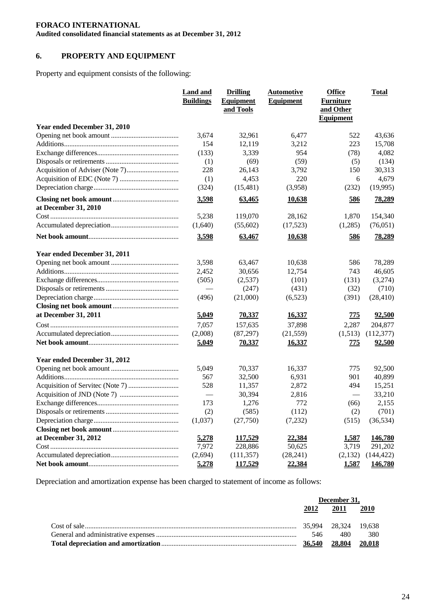**Audited consolidated financial statements as at December 31, 2012**

# **6. PROPERTY AND EQUIPMENT**

Property and equipment consists of the following:

|                              | <b>Land and</b><br><b>Buildings</b> | <b>Drilling</b><br><b>Equipment</b><br>and Tools | <b>Automotive</b><br><b>Equipment</b> | <b>Office</b><br><b>Furniture</b><br>and Other<br><b>Equipment</b> | <b>Total</b>  |
|------------------------------|-------------------------------------|--------------------------------------------------|---------------------------------------|--------------------------------------------------------------------|---------------|
| Year ended December 31, 2010 |                                     |                                                  |                                       |                                                                    |               |
|                              | 3,674                               | 32,961                                           | 6,477                                 | 522                                                                | 43,636        |
|                              | 154                                 | 12,119                                           | 3,212                                 | 223                                                                | 15,708        |
|                              | (133)                               | 3,339                                            | 954                                   | (78)                                                               | 4,082         |
|                              | (1)                                 | (69)                                             | (59)                                  | (5)                                                                | (134)         |
|                              | 228                                 | 26,143                                           | 3,792                                 | 150                                                                | 30,313        |
|                              | (1)                                 | 4,453                                            | 220                                   | 6                                                                  | 4,679         |
|                              | (324)                               | (15, 481)                                        | (3,958)                               | (232)                                                              | (19,995)      |
| at December 31, 2010         | 3,598                               | 63,465                                           | 10,638                                | 586                                                                | <u>78,289</u> |
|                              | 5,238                               | 119,070                                          | 28,162                                | 1,870                                                              | 154,340       |
|                              | (1,640)                             | (55,602)                                         | (17,523)                              | (1,285)                                                            | (76,051)      |
|                              | 3,598                               | 63,467                                           | 10,638                                | 586                                                                | 78,289        |
| Year ended December 31, 2011 |                                     |                                                  |                                       |                                                                    |               |
|                              | 3,598                               | 63.467                                           | 10,638                                | 586                                                                | 78,289        |
|                              | 2,452                               | 30,656                                           | 12,754                                | 743                                                                | 46,605        |
|                              | (505)                               | (2,537)                                          | (101)                                 | (131)                                                              | (3,274)       |
|                              |                                     | (247)                                            | (431)                                 | (32)                                                               | (710)         |
|                              | (496)                               | (21,000)                                         | (6,523)                               | (391)                                                              | (28, 410)     |
|                              |                                     |                                                  |                                       |                                                                    |               |
| at December 31, 2011         | 5,049                               | <u>70,337</u>                                    | 16,337                                | <u>775</u>                                                         | 92,500        |
|                              | 7,057                               | 157,635                                          | 37,898                                | 2,287                                                              | 204,877       |
|                              | (2,008)                             | (87, 297)                                        | (21, 559)                             | (1,513)                                                            | (112, 377)    |
|                              | 5,049                               | 70,337                                           | 16,337                                | <u> 775</u>                                                        | <u>92,500</u> |
| Year ended December 31, 2012 |                                     |                                                  |                                       |                                                                    |               |
|                              | 5,049                               | 70,337                                           | 16,337                                | 775                                                                | 92,500        |
|                              | 567                                 | 32,500                                           | 6,931                                 | 901                                                                | 40,899        |
|                              | 528                                 | 11,357                                           | 2,872                                 | 494                                                                | 15,251        |
|                              |                                     | 30,394                                           | 2,816                                 |                                                                    | 33,210        |
|                              | 173                                 | 1,276                                            | 772                                   | (66)                                                               | 2,155         |
|                              | (2)                                 | (585)                                            | (112)                                 | (2)                                                                | (701)         |
|                              | (1,037)                             | (27,750)                                         | (7,232)                               | (515)                                                              | (36, 534)     |
|                              |                                     |                                                  |                                       |                                                                    |               |
| at December 31, 2012         | 5,278                               | <u>117,529</u>                                   | 22,384                                | 1,587                                                              | 146,780       |
|                              | 7,972                               | 228,886                                          | 50,625                                | 3,719                                                              | 291,202       |
|                              | (2,694)                             | (111, 357)                                       | (28, 241)                             | (2,132)                                                            | (144, 422)    |
|                              | 5,278                               | 117,529                                          | 22,384                                | 1,587                                                              | 146,780       |

Depreciation and amortization expense has been charged to statement of income as follows:

| December 31, |                |     |
|--------------|----------------|-----|
|              | 2012 2011 2010 |     |
|              |                |     |
|              | 546 480        | 380 |
|              |                |     |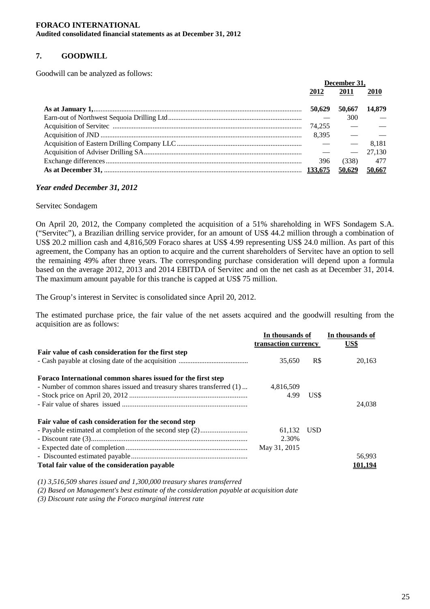# **7. GOODWILL**

Goodwill can be analyzed as follows:

| December 31. |        |                                                                                                                                                                                                                                      |
|--------------|--------|--------------------------------------------------------------------------------------------------------------------------------------------------------------------------------------------------------------------------------------|
| 2012         | 2011   | 2010                                                                                                                                                                                                                                 |
| 50.629       | 50,667 | 14,879                                                                                                                                                                                                                               |
|              | 300    |                                                                                                                                                                                                                                      |
| 74.255       |        |                                                                                                                                                                                                                                      |
| 8.395        |        | <u>the community of the community of the community of the community of the community of the community of the community of the community of the community of the community of the community of the community of the community of </u> |
|              |        | 8.181                                                                                                                                                                                                                                |
|              |        |                                                                                                                                                                                                                                      |
| 396          | (338)  | -477                                                                                                                                                                                                                                 |
| 133.675      | 50.629 | 50.667                                                                                                                                                                                                                               |

# *Year ended December 31, 2012*

#### Servitec Sondagem

On April 20, 2012, the Company completed the acquisition of a 51% shareholding in WFS Sondagem S.A. ("Servitec"), a Brazilian drilling service provider, for an amount of US\$ 44.2 million through a combination of US\$ 20.2 million cash and 4,816,509 Foraco shares at US\$ 4.99 representing US\$ 24.0 million. As part of this agreement, the Company has an option to acquire and the current shareholders of Servitec have an option to sell the remaining 49% after three years. The corresponding purchase consideration will depend upon a formula based on the average 2012, 2013 and 2014 EBITDA of Servitec and on the net cash as at December 31, 2014. The maximum amount payable for this tranche is capped at US\$ 75 million.

The Group's interest in Servitec is consolidated since April 20, 2012.

The estimated purchase price, the fair value of the net assets acquired and the goodwill resulting from the acquisition are as follows:

|                                                                      | In thousands of      |            | In thousands of |
|----------------------------------------------------------------------|----------------------|------------|-----------------|
|                                                                      | transaction currency |            | US\$            |
| Fair value of cash consideration for the first step                  |                      |            |                 |
|                                                                      | 35,650               | R\$        | 20.163          |
| Foraco International common shares issued for the first step         |                      |            |                 |
| - Number of common shares issued and treasury shares transferred (1) | 4,816,509            |            |                 |
|                                                                      | 4.99                 | US\$       |                 |
|                                                                      |                      |            | 24.038          |
| Fair value of cash consideration for the second step                 |                      |            |                 |
|                                                                      | 61.132               | <b>USD</b> |                 |
|                                                                      | 2.30%                |            |                 |
|                                                                      | May 31, 2015         |            |                 |
|                                                                      |                      |            | 56,993          |
| Total fair value of the consideration payable                        |                      |            | 101.19          |

*(1) 3,516,509 shares issued and 1,300,000 treasury shares transferred*

*(2) Based on Management's best estimate of the consideration payable at acquisition date*

*(3) Discount rate using the Foraco marginal interest rate*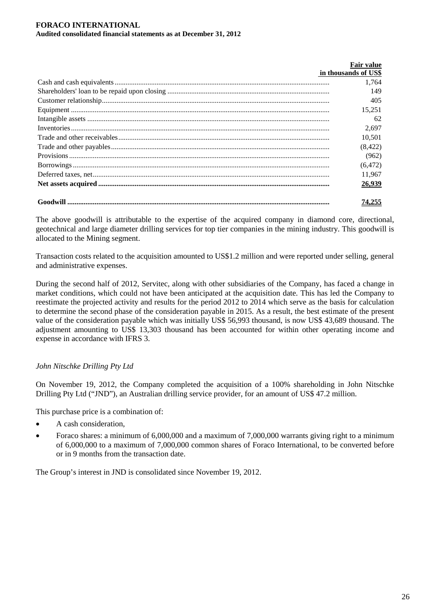| <b>Fair value</b><br>in thousands of US\$ |
|-------------------------------------------|
| 1,764                                     |
| 149                                       |
| 405                                       |
| 15.251                                    |
| 62                                        |
| 2.697                                     |
| 10,501                                    |
| (8, 422)                                  |
| (962)                                     |
| (6, 472)                                  |
| 11.967                                    |
| 26,939                                    |
| 74.255                                    |

The above goodwill is attributable to the expertise of the acquired company in diamond core, directional, geotechnical and large diameter drilling services for top tier companies in the mining industry. This goodwill is allocated to the Mining segment.

Transaction costs related to the acquisition amounted to US\$1.2 million and were reported under selling, general and administrative expenses.

During the second half of 2012, Servitec, along with other subsidiaries of the Company, has faced a change in market conditions, which could not have been anticipated at the acquisition date. This has led the Company to reestimate the projected activity and results for the period 2012 to 2014 which serve as the basis for calculation to determine the second phase of the consideration payable in 2015. As a result, the best estimate of the present value of the consideration payable which was initially US\$ 56,993 thousand, is now US\$ 43,689 thousand. The adjustment amounting to US\$ 13,303 thousand has been accounted for within other operating income and expense in accordance with IFRS 3.

# *John Nitschke Drilling Pty Ltd*

On November 19, 2012, the Company completed the acquisition of a 100% shareholding in John Nitschke Drilling Pty Ltd ("JND"), an Australian drilling service provider, for an amount of US\$ 47.2 million.

This purchase price is a combination of:

- A cash consideration,
- Foraco shares: a minimum of 6,000,000 and a maximum of 7,000,000 warrants giving right to a minimum of 6,000,000 to a maximum of 7,000,000 common shares of Foraco International, to be converted before or in 9 months from the transaction date.

The Group's interest in JND is consolidated since November 19, 2012.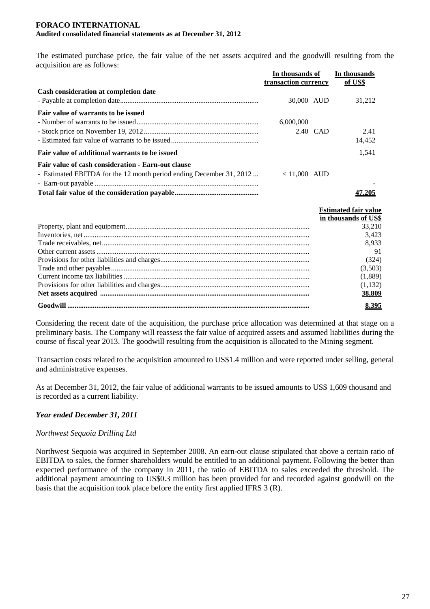The estimated purchase price, the fair value of the net assets acquired and the goodwill resulting from the acquisition are as follows:

|                                                                     | In thousands of      |          | In thousands |
|---------------------------------------------------------------------|----------------------|----------|--------------|
|                                                                     | transaction currency |          | of US\$      |
| Cash consideration at completion date                               |                      |          |              |
|                                                                     | 30,000 AUD           |          | 31,212       |
| Fair value of warrants to be issued                                 |                      |          |              |
|                                                                     | 6,000,000            |          |              |
|                                                                     |                      | 2.40 CAD | 2.41         |
|                                                                     |                      |          | 14,452       |
| Fair value of additional warrants to be issued                      |                      |          | 1,541        |
| <b>Fair value of cash consideration - Earn-out clause</b>           |                      |          |              |
| - Estimated EBITDA for the 12 month period ending December 31, 2012 | $< 11,000$ AUD       |          |              |
|                                                                     |                      |          |              |
|                                                                     |                      |          |              |

| <b>Estimated fair value</b> |
|-----------------------------|
| in thousands of US\$        |
| 33.210                      |
| 3.423                       |
| 8.933                       |
| -91                         |
| (324)                       |
| (3,503)                     |
| (1,889)                     |
| (1,132)                     |
| 38,809                      |
|                             |

Considering the recent date of the acquisition, the purchase price allocation was determined at that stage on a preliminary basis. The Company will reassess the fair value of acquired assets and assumed liabilities during the course of fiscal year 2013. The goodwill resulting from the acquisition is allocated to the Mining segment.

Transaction costs related to the acquisition amounted to US\$1.4 million and were reported under selling, general and administrative expenses.

As at December 31, 2012, the fair value of additional warrants to be issued amounts to US\$ 1,609 thousand and is recorded as a current liability.

# *Year ended December 31, 2011*

# *Northwest Sequoia Drilling Ltd*

Northwest Sequoia was acquired in September 2008. An earn-out clause stipulated that above a certain ratio of EBITDA to sales, the former shareholders would be entitled to an additional payment. Following the better than expected performance of the company in 2011, the ratio of EBITDA to sales exceeded the threshold. The additional payment amounting to US\$0.3 million has been provided for and recorded against goodwill on the basis that the acquisition took place before the entity first applied IFRS 3 (R).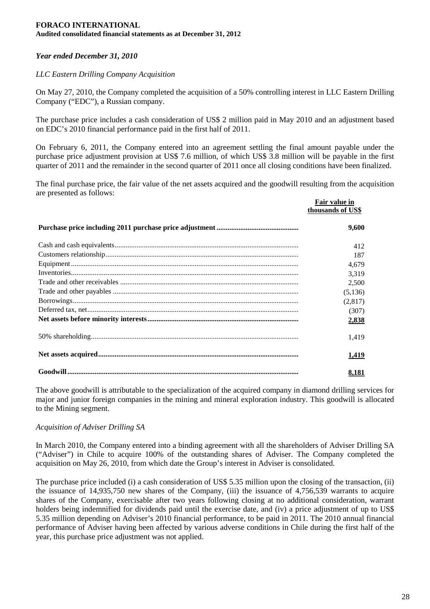# *Year ended December 31, 2010*

#### *LLC Eastern Drilling Company Acquisition*

On May 27, 2010, the Company completed the acquisition of a 50% controlling interest in LLC Eastern Drilling Company ("EDC"), a Russian company.

The purchase price includes a cash consideration of US\$ 2 million paid in May 2010 and an adjustment based on EDC's 2010 financial performance paid in the first half of 2011.

On February 6, 2011, the Company entered into an agreement settling the final amount payable under the purchase price adjustment provision at US\$ 7.6 million, of which US\$ 3.8 million will be payable in the first quarter of 2011 and the remainder in the second quarter of 2011 once all closing conditions have been finalized.

The final purchase price, the fair value of the net assets acquired and the goodwill resulting from the acquisition are presented as follows:

| Fair value in<br>thousands of US\$ |
|------------------------------------|
| 9,600                              |
| 412                                |
| 187                                |
| 4,679                              |
| 3,319                              |
| 2,500                              |
| (5,136)                            |
| (2,817)                            |
| (307)                              |
| 2,838                              |
| 1.419                              |
| 1,419                              |
| 8.181                              |

The above goodwill is attributable to the specialization of the acquired company in diamond drilling services for major and junior foreign companies in the mining and mineral exploration industry. This goodwill is allocated to the Mining segment.

# *Acquisition of Adviser Drilling SA*

In March 2010, the Company entered into a binding agreement with all the shareholders of Adviser Drilling SA ("Adviser") in Chile to acquire 100% of the outstanding shares of Adviser. The Company completed the acquisition on May 26, 2010, from which date the Group's interest in Adviser is consolidated.

The purchase price included (i) a cash consideration of US\$ 5.35 million upon the closing of the transaction, (ii) the issuance of 14,935,750 new shares of the Company, (iii) the issuance of 4,756,539 warrants to acquire shares of the Company, exercisable after two years following closing at no additional consideration, warrant holders being indemnified for dividends paid until the exercise date, and (iv) a price adjustment of up to US\$ 5.35 million depending on Adviser's 2010 financial performance, to be paid in 2011. The 2010 annual financial performance of Adviser having been affected by various adverse conditions in Chile during the first half of the year, this purchase price adjustment was not applied.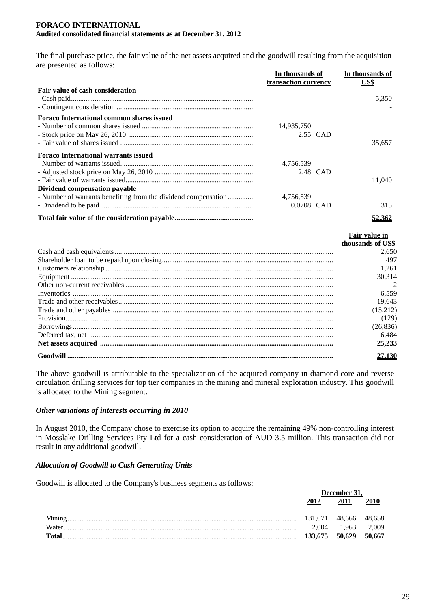The final purchase price, the fair value of the net assets acquired and the goodwill resulting from the acquisition are presented as follows:

|                                                  | In thousands of      |          | In thousands of |
|--------------------------------------------------|----------------------|----------|-----------------|
|                                                  | transaction currency |          | US\$            |
| Fair value of cash consideration                 |                      |          |                 |
|                                                  |                      |          | 5,350           |
|                                                  |                      |          |                 |
| <b>Foraco International common shares issued</b> |                      |          |                 |
|                                                  | 14,935,750           |          |                 |
|                                                  |                      | 2.55 CAD |                 |
|                                                  |                      |          | 35,657          |
| <b>Foraco International warrants issued</b>      |                      |          |                 |
|                                                  | 4.756.539            |          |                 |
|                                                  |                      | 2.48 CAD |                 |
|                                                  |                      |          | 11,040          |
| Dividend compensation payable                    |                      |          |                 |
|                                                  | 4,756,539            |          |                 |
|                                                  | 0.0708 CAD           |          | 315             |
|                                                  |                      |          | 52,362          |

| <b>Fair value in</b> |
|----------------------|
| thousands of US\$    |
| 2.650                |
| 497                  |
| 1.261                |
| 30.314               |
|                      |
| 6.559                |
| 19.643               |
| (15,212)             |
| (129)                |
| (26, 836)            |
| 6.484                |
| 25.233               |
|                      |

The above goodwill is attributable to the specialization of the acquired company in diamond core and reverse circulation drilling services for top tier companies in the mining and mineral exploration industry. This goodwill is allocated to the Mining segment.

# *Other variations of interests occurring in 2010*

In August 2010, the Company chose to exercise its option to acquire the remaining 49% non-controlling interest in Mosslake Drilling Services Pty Ltd for a cash consideration of AUD 3.5 million. This transaction did not result in any additional goodwill.

# *Allocation of Goodwill to Cash Generating Units*

Goodwill is allocated to the Company's business segments as follows:

|              | December 31, |                   |        |
|--------------|--------------|-------------------|--------|
|              | 2012         | 2011              | 2010   |
|              |              |                   |        |
|              |              | 48.666 48.658     |        |
| Water        |              | 2.004 1.963 2.009 |        |
| <b>Total</b> | 133.675      | 50.629            | 50.667 |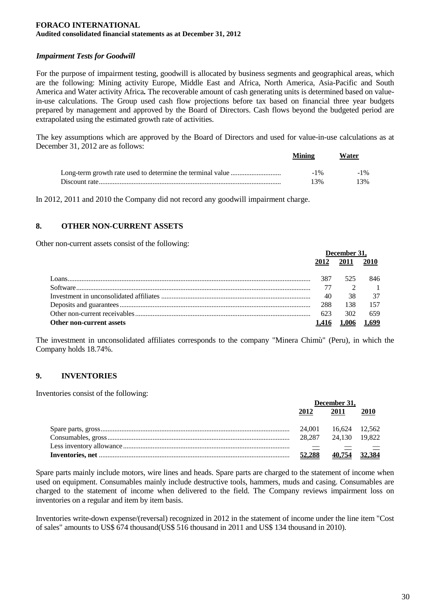# *Impairment Tests for Goodwill*

For the purpose of impairment testing, goodwill is allocated by business segments and geographical areas, which are the following: Mining activity Europe, Middle East and Africa, North America, Asia-Pacific and South America and Water activity Africa*.* The recoverable amount of cash generating units is determined based on valuein-use calculations. The Group used cash flow projections before tax based on financial three year budgets prepared by management and approved by the Board of Directors. Cash flows beyond the budgeted period are extrapolated using the estimated growth rate of activities.

The key assumptions which are approved by the Board of Directors and used for value-in-use calculations as at December 31, 2012 are as follows:

| <b>Mining</b> | Water  |
|---------------|--------|
| $-1\%$        | $-1\%$ |
| 13%           | 13%    |

In 2012, 2011 and 2010 the Company did not record any goodwill impairment charge.

# **8. OTHER NON-CURRENT ASSETS**

Other non-current assets consist of the following:

|                          | December 31. |        |             |
|--------------------------|--------------|--------|-------------|
|                          | 2012         | 2011   | <b>2010</b> |
|                          | 387          | 525    | 846         |
|                          |              | 77 2 1 |             |
|                          | 40           | 38     | 37          |
|                          | 288          | 138    | -157        |
|                          | 623          | 302    | 659         |
| Other non-current assets |              | 1.006  |             |

The investment in unconsolidated affiliates corresponds to the company "Minera Chimù" (Peru), in which the Company holds 18.74%.

# **9. INVENTORIES**

Inventories consist of the following:

| December 31, |                      |                                                                                                                                                                                                                               |
|--------------|----------------------|-------------------------------------------------------------------------------------------------------------------------------------------------------------------------------------------------------------------------------|
| 2012         | 2011 2010            |                                                                                                                                                                                                                               |
|              | 24,001 16,624 12,562 |                                                                                                                                                                                                                               |
|              | 28.287 24.130 19.822 |                                                                                                                                                                                                                               |
|              |                      | and the state of the state of the state of the state of the state of the state of the state of the state of the state of the state of the state of the state of the state of the state of the state of the state of the state |
| 52,288       | 40,754 32,384        |                                                                                                                                                                                                                               |

Spare parts mainly include motors, wire lines and heads. Spare parts are charged to the statement of income when used on equipment. Consumables mainly include destructive tools, hammers, muds and casing. Consumables are charged to the statement of income when delivered to the field. The Company reviews impairment loss on inventories on a regular and item by item basis.

Inventories write-down expense/(reversal) recognized in 2012 in the statement of income under the line item "Cost of sales" amounts to US\$ 674 thousand(US\$ 516 thousand in 2011 and US\$ 134 thousand in 2010).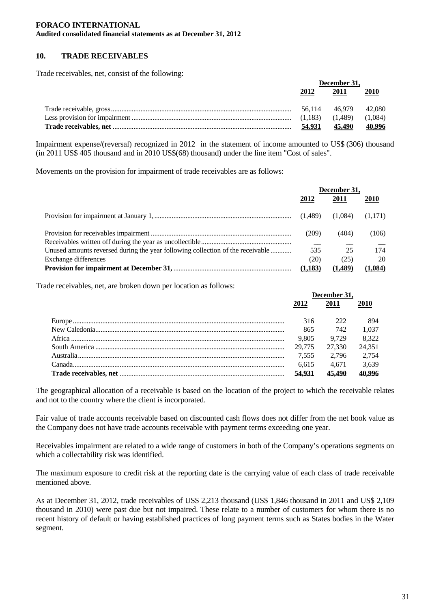# **10. TRADE RECEIVABLES**

Trade receivables, net, consist of the following:

| December 31, |                      |             |
|--------------|----------------------|-------------|
| 2012         | 2011                 | <b>2010</b> |
|              | 56.114 46.979 42.080 |             |
|              |                      |             |
|              | 54,931 45,490 40,996 |             |

Impairment expense/(reversal) recognized in 2012 in the statement of income amounted to US\$ (306) thousand (in 2011 US\$ 405 thousand and in 2010 US\$(68) thousand) under the line item "Cost of sales".

Movements on the provision for impairment of trade receivables are as follows:

|                                                                                | December 31, |         |             |
|--------------------------------------------------------------------------------|--------------|---------|-------------|
|                                                                                | 2012         | 2011    | <b>2010</b> |
|                                                                                | (1.489)      | (1.084) | (1,171)     |
|                                                                                | (209)        | (404)   | (106)       |
| Unused amounts reversed during the year following collection of the receivable | 535          | 25      | 174         |
| Exchange differences                                                           | (20)         | (25)    | 20          |
|                                                                                | (1,183)      | (1,489) | (1,084)     |

Trade receivables, net, are broken down per location as follows:

| December 31, |             |             |
|--------------|-------------|-------------|
| 2012         | 2011        | <b>2010</b> |
| 316          | 222         | 894         |
| 865          | 742         | 1.037       |
| 9.805        | 9.729       | 8.322       |
| 29.775       | 27.330      | 24,351      |
| 7.555        | 2,796 2,754 |             |
| 6.615        | 4.671       | 3,639       |
| 54.931       | 45.490      | 40,996      |

The geographical allocation of a receivable is based on the location of the project to which the receivable relates and not to the country where the client is incorporated.

Fair value of trade accounts receivable based on discounted cash flows does not differ from the net book value as the Company does not have trade accounts receivable with payment terms exceeding one year.

Receivables impairment are related to a wide range of customers in both of the Company's operations segments on which a collectability risk was identified.

The maximum exposure to credit risk at the reporting date is the carrying value of each class of trade receivable mentioned above.

As at December 31, 2012, trade receivables of US\$ 2,213 thousand (US\$ 1,846 thousand in 2011 and US\$ 2,109 thousand in 2010) were past due but not impaired. These relate to a number of customers for whom there is no recent history of default or having established practices of long payment terms such as States bodies in the Water segment.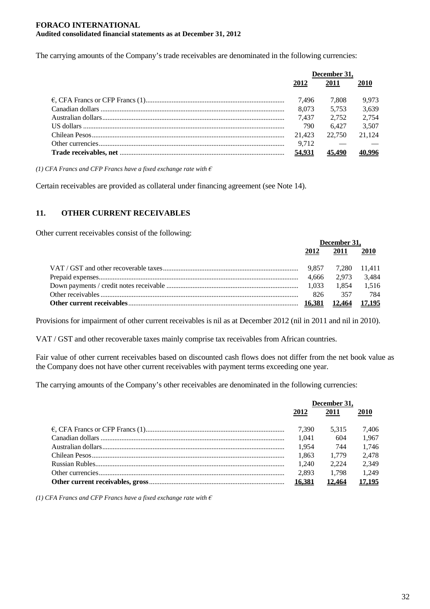The carrying amounts of the Company's trade receivables are denominated in the following currencies:

| December 31. |        |        |
|--------------|--------|--------|
| 2012         | 2011   | 2010   |
| 7.496        | 7.808  | 9.973  |
| 8.073        | 5.753  | 3,639  |
| 7.437        | 2.752  | 2.754  |
| 790          | 6.427  | 3,507  |
| 21.423       | 22.750 | 21.124 |
| 9.712        |        |        |
| 54.931       | 45.490 |        |
|              |        |        |

*(1)* CFA Francs and CFP Francs have a fixed exchange rate with  $\epsilon$ 

Certain receivables are provided as collateral under financing agreement (see Note 14).

# **11. OTHER CURRENT RECEIVABLES**

Other current receivables consist of the following:

| December 31, |                   |             |
|--------------|-------------------|-------------|
| 2012         | 2011              | <b>2010</b> |
|              |                   |             |
|              | 4,666 2,973 3,484 |             |
|              |                   |             |
| 826          | 357               | 784         |
| 16,381       | 12,464            | 17,195      |

Provisions for impairment of other current receivables is nil as at December 2012 (nil in 2011 and nil in 2010).

VAT / GST and other recoverable taxes mainly comprise tax receivables from African countries.

Fair value of other current receivables based on discounted cash flows does not differ from the net book value as the Company does not have other current receivables with payment terms exceeding one year.

The carrying amounts of the Company's other receivables are denominated in the following currencies:

| December 31. |        |        |
|--------------|--------|--------|
| 2012         | 2011   | 2010   |
| 7.390        | 5.315  | 7.406  |
| 1.041        | 604    | 1,967  |
| 1.954        | 744    | 1,746  |
| 1.863        | 1.779  | 2.478  |
| 1.240        | 2.224  | 2,349  |
| 2.893        | 1.798  | 1.249  |
| 16,381       | 12,464 | 17.195 |

*(1)* CFA Francs and CFP Francs have a fixed exchange rate with  $\epsilon$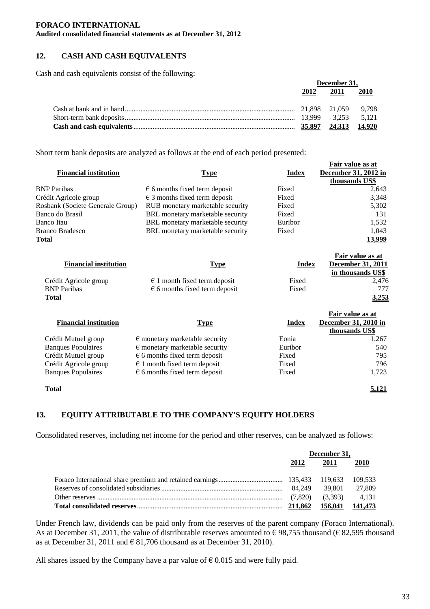# **12. CASH AND CASH EQUIVALENTS**

Cash and cash equivalents consist of the following:

| December 31, |                       |  |
|--------------|-----------------------|--|
|              | <u>2012 2011 2010</u> |  |
|              |                       |  |
|              |                       |  |
|              |                       |  |

Short term bank deposits are analyzed as follows at the end of each period presented:

| <b>Financial institution</b>     | <b>Type</b>                             | <b>Index</b> | December 31, 2012 in |
|----------------------------------|-----------------------------------------|--------------|----------------------|
|                                  |                                         |              | thousands US\$       |
| <b>BNP</b> Paribas               | $\epsilon$ 6 months fixed term deposit  | Fixed        | 2,643                |
| Crédit Agricole group            | $\epsilon$ 3 months fixed term deposit  | Fixed        | 3,348                |
| Rosbank (Societe Generale Group) | RUB monetary marketable security        | Fixed        | 5,302                |
| Banco do Brasil                  | BRL monetary marketable security        | Fixed        | 131                  |
| Banco Itau                       | BRL monetary marketable security        | Euribor      | 1,532                |
| Branco Bradesco                  | BRL monetary marketable security        | Fixed        | 1,043                |
| <b>Total</b>                     |                                         |              | 13,999               |
|                                  |                                         |              | Fair value as at     |
| <b>Financial institution</b>     | <b>Type</b>                             | Index        | December 31, 2011    |
|                                  |                                         |              | in thousands US\$    |
| Crédit Agricole group            | $\epsilon$ 1 month fixed term deposit   | Fixed        | 2,476                |
| <b>BNP</b> Paribas               | $\epsilon$ 6 months fixed term deposit  | Fixed        | 777                  |
| <b>Total</b>                     |                                         |              | 3,253                |
|                                  |                                         |              | Fair value as at     |
| <b>Financial institution</b>     | <b>Type</b>                             | Index        | December 31, 2010 in |
|                                  |                                         |              | thousands US\$       |
| Crédit Mutuel group              | $\epsilon$ monetary marketable security | Eonia        | 1,267                |

| <b>Total</b>              |                                         |         | <u>5,121</u> |
|---------------------------|-----------------------------------------|---------|--------------|
| <b>Banques Populaires</b> | $\epsilon$ 6 months fixed term deposit  | Fixed   | 1,723        |
| Crédit Agricole group     | $\epsilon$ 1 month fixed term deposit   | Fixed   | 796          |
| Crédit Mutuel group       | $\epsilon$ 6 months fixed term deposit  | Fixed   | 795          |
| <b>Banques Populaires</b> | $\epsilon$ monetary marketable security | Euribor | 540          |
|                           |                                         |         |              |

**13. EQUITY ATTRIBUTABLE TO THE COMPANY'S EQUITY HOLDERS**

Consolidated reserves, including net income for the period and other reserves, can be analyzed as follows:

| December 31, |                   |                 |
|--------------|-------------------|-----------------|
| 2012         | 2011              | <b>2010</b>     |
|              |                   |                 |
|              |                   |                 |
|              | $(3.393)$ $4.131$ |                 |
|              |                   | 156,041 141,473 |

Under French law, dividends can be paid only from the reserves of the parent company (Foraco International). As at December 31, 2011, the value of distributable reserves amounted to  $\epsilon$  98,755 thousand ( $\epsilon$  82,595 thousand as at December 31, 2011 and  $\in$  81,706 thousand as at December 31, 2010).

All shares issued by the Company have a par value of  $\epsilon$  0.015 and were fully paid.

**Fair value as at**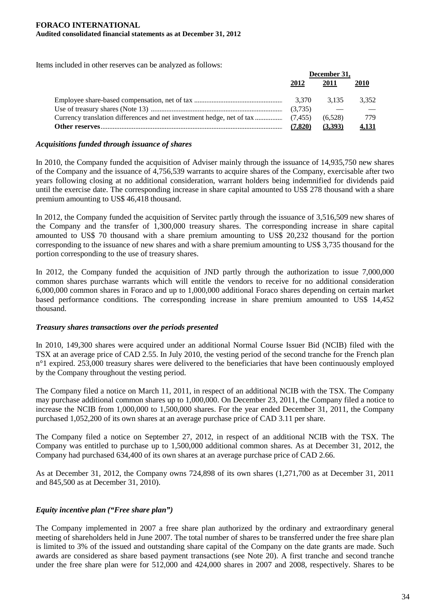Items included in other reserves can be analyzed as follows:

| December 31, |         |       |
|--------------|---------|-------|
| 2012         | 2011    | 2010  |
| 3.370        | 3.135   | 3.352 |
|              |         |       |
|              | (6.528) | 779   |
| (7.820)      | (3.393) | 4.131 |

#### *Acquisitions funded through issuance of shares*

In 2010, the Company funded the acquisition of Adviser mainly through the issuance of 14,935,750 new shares of the Company and the issuance of 4,756,539 warrants to acquire shares of the Company, exercisable after two years following closing at no additional consideration, warrant holders being indemnified for dividends paid until the exercise date. The corresponding increase in share capital amounted to US\$ 278 thousand with a share premium amounting to US\$ 46,418 thousand.

In 2012, the Company funded the acquisition of Servitec partly through the issuance of 3,516,509 new shares of the Company and the transfer of 1,300,000 treasury shares. The corresponding increase in share capital amounted to US\$ 70 thousand with a share premium amounting to US\$ 20,232 thousand for the portion corresponding to the issuance of new shares and with a share premium amounting to US\$ 3,735 thousand for the portion corresponding to the use of treasury shares.

In 2012, the Company funded the acquisition of JND partly through the authorization to issue 7,000,000 common shares purchase warrants which will entitle the vendors to receive for no additional consideration 6,000,000 common shares in Foraco and up to 1,000,000 additional Foraco shares depending on certain market based performance conditions. The corresponding increase in share premium amounted to US\$ 14,452 thousand.

# *Treasury shares transactions over the periods presented*

In 2010, 149,300 shares were acquired under an additional Normal Course Issuer Bid (NCIB) filed with the TSX at an average price of CAD 2.55. In July 2010, the vesting period of the second tranche for the French plan n°1 expired. 253,000 treasury shares were delivered to the beneficiaries that have been continuously employed by the Company throughout the vesting period.

The Company filed a notice on March 11, 2011, in respect of an additional NCIB with the TSX. The Company may purchase additional common shares up to 1,000,000. On December 23, 2011, the Company filed a notice to increase the NCIB from 1,000,000 to 1,500,000 shares. For the year ended December 31, 2011, the Company purchased 1,052,200 of its own shares at an average purchase price of CAD 3.11 per share.

The Company filed a notice on September 27, 2012, in respect of an additional NCIB with the TSX. The Company was entitled to purchase up to 1,500,000 additional common shares. As at December 31, 2012, the Company had purchased 634,400 of its own shares at an average purchase price of CAD 2.66.

As at December 31, 2012, the Company owns 724,898 of its own shares (1,271,700 as at December 31, 2011 and 845,500 as at December 31, 2010).

# *Equity incentive plan ("Free share plan")*

The Company implemented in 2007 a free share plan authorized by the ordinary and extraordinary general meeting of shareholders held in June 2007. The total number of shares to be transferred under the free share plan is limited to 3% of the issued and outstanding share capital of the Company on the date grants are made. Such awards are considered as share based payment transactions (see Note 20). A first tranche and second tranche under the free share plan were for 512,000 and 424,000 shares in 2007 and 2008, respectively. Shares to be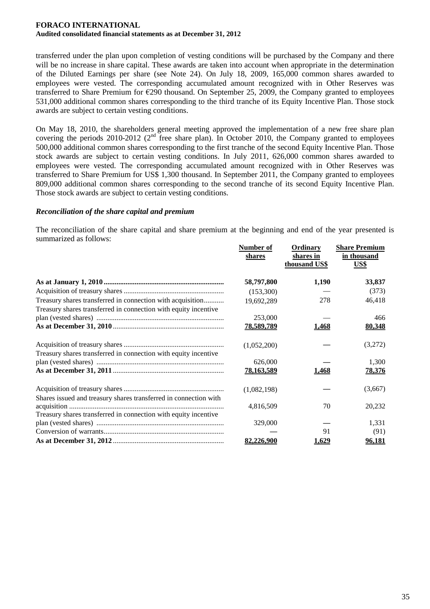transferred under the plan upon completion of vesting conditions will be purchased by the Company and there will be no increase in share capital. These awards are taken into account when appropriate in the determination of the Diluted Earnings per share (see Note 24). On July 18, 2009, 165,000 common shares awarded to employees were vested. The corresponding accumulated amount recognized with in Other Reserves was transferred to Share Premium for €290 thousand. On September 25, 2009, the Company granted to employees 531,000 additional common shares corresponding to the third tranche of its Equity Incentive Plan. Those stock awards are subject to certain vesting conditions.

On May 18, 2010, the shareholders general meeting approved the implementation of a new free share plan covering the periods 2010-2012 ( $2<sup>nd</sup>$  free share plan). In October 2010, the Company granted to employees 500,000 additional common shares corresponding to the first tranche of the second Equity Incentive Plan. Those stock awards are subject to certain vesting conditions. In July 2011, 626,000 common shares awarded to employees were vested. The corresponding accumulated amount recognized with in Other Reserves was transferred to Share Premium for US\$ 1,300 thousand. In September 2011, the Company granted to employees 809,000 additional common shares corresponding to the second tranche of its second Equity Incentive Plan. Those stock awards are subject to certain vesting conditions.

# *Reconciliation of the share capital and premium*

The reconciliation of the share capital and share premium at the beginning and end of the year presented is summarized as follows: **Number of Ordinary Share Premium**

|                                                                                                                               | Number of<br>shares | Ordinary<br>shares in<br>thousand US\$ | Snare Premium<br>in thousand<br><b>US\$</b> |
|-------------------------------------------------------------------------------------------------------------------------------|---------------------|----------------------------------------|---------------------------------------------|
|                                                                                                                               | 58,797,800          | 1,190                                  | 33,837                                      |
|                                                                                                                               | (153,300)           |                                        | (373)                                       |
| Treasury shares transferred in connection with acquisition<br>Treasury shares transferred in connection with equity incentive | 19,692,289          | 278                                    | 46,418                                      |
|                                                                                                                               | 253,000             |                                        | 466                                         |
|                                                                                                                               | 78,589,789          | <u>1,468</u>                           | 80,348                                      |
| Treasury shares transferred in connection with equity incentive                                                               | (1,052,200)         |                                        | (3,272)                                     |
|                                                                                                                               | 626,000             |                                        | 1,300                                       |
|                                                                                                                               | <u>78,163,589</u>   | 1,468                                  | <u>78,376</u>                               |
|                                                                                                                               | (1,082,198)         |                                        | (3,667)                                     |
| Shares issued and treasury shares transferred in connection with                                                              |                     |                                        |                                             |
|                                                                                                                               | 4,816,509           | 70                                     | 20,232                                      |
| Treasury shares transferred in connection with equity incentive                                                               |                     |                                        |                                             |
|                                                                                                                               | 329,000             |                                        | 1,331                                       |
|                                                                                                                               |                     | 91                                     | (91)                                        |
|                                                                                                                               | 82,226,900          | <u>1,629</u>                           | 96,181                                      |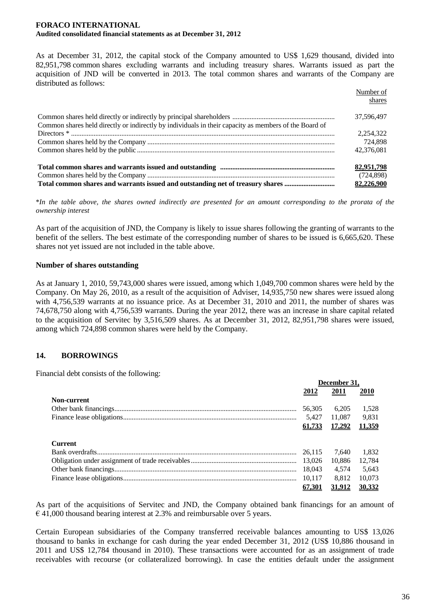As at December 31, 2012, the capital stock of the Company amounted to US\$ 1,629 thousand, divided into 82,951,798 common shares excluding warrants and including treasury shares. Warrants issued as part the acquisition of JND will be converted in 2013. The total common shares and warrants of the Company are distributed as follows:

|                                                                                                       | Number of<br>shares |
|-------------------------------------------------------------------------------------------------------|---------------------|
|                                                                                                       | 37,596,497          |
| Common shares held directly or indirectly by individuals in their capacity as members of the Board of |                     |
|                                                                                                       | 2,254,322           |
|                                                                                                       | 724.898             |
|                                                                                                       | 42,376,081          |
|                                                                                                       | 82,951,798          |
|                                                                                                       | (724, 898)          |
| Total common shares and warrants issued and outstanding net of treasury shares                        | 82,226,900          |

\**In the table above, the shares owned indirectly are presented for an amount corresponding to the prorata of the ownership interest*

As part of the acquisition of JND, the Company is likely to issue shares following the granting of warrants to the benefit of the sellers. The best estimate of the corresponding number of shares to be issued is 6,665,620. These shares not yet issued are not included in the table above.

#### **Number of shares outstanding**

As at January 1, 2010, 59,743,000 shares were issued, among which 1,049,700 common shares were held by the Company. On May 26, 2010, as a result of the acquisition of Adviser, 14,935,750 new shares were issued along with 4,756,539 warrants at no issuance price. As at December 31, 2010 and 2011, the number of shares was 74,678,750 along with 4,756,539 warrants. During the year 2012, there was an increase in share capital related to the acquisition of Servitec by 3,516,509 shares. As at December 31, 2012, 82,951,798 shares were issued, among which 724,898 common shares were held by the Company.

# **14. BORROWINGS**

Financial debt consists of the following:

|                | December 31   |        |             |
|----------------|---------------|--------|-------------|
|                | 2012          | 2011   | <b>2010</b> |
| Non-current    |               |        |             |
|                | 56,305        | 6.205  | 1,528       |
|                | 5.427         | 11.087 | 9,831       |
|                | 61,733        | 17,292 | 11,359      |
| <b>Current</b> |               |        |             |
|                | 26,115        | 7.640  | 1,832       |
|                |               | 10.886 | 12,784      |
|                | 18,043        | 4.574  | 5,643       |
|                | 10.117        | 8.812  | 10,073      |
|                | <u>67,301</u> | 31,912 | 30,332      |

As part of the acquisitions of Servitec and JND, the Company obtained bank financings for an amount of  $\epsilon$  41,000 thousand bearing interest at 2.3% and reimbursable over 5 years.

Certain European subsidiaries of the Company transferred receivable balances amounting to US\$ 13,026 thousand to banks in exchange for cash during the year ended December 31, 2012 (US\$ 10,886 thousand in 2011 and US\$ 12,784 thousand in 2010). These transactions were accounted for as an assignment of trade receivables with recourse (or collateralized borrowing). In case the entities default under the assignment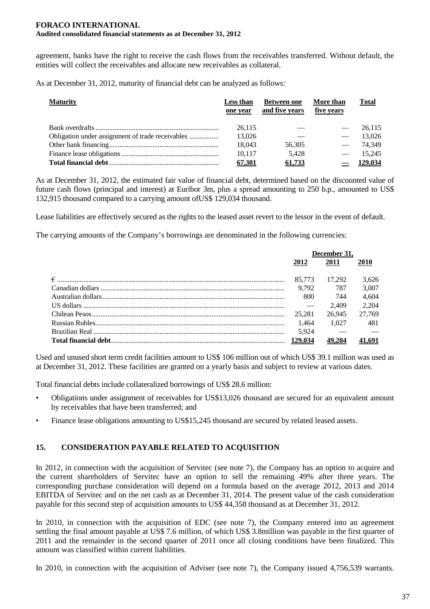agreement, banks have the right to receive the cash flows from the receivables transferred. Without default, the entities will collect the receivables and allocate new receivables as collateral.

As at December 31, 2012, maturity of financial debt can be analyzed as follows:

| <b>Maturity</b>                                  | Less than | <b>Between one</b> | More than                | Total       |
|--------------------------------------------------|-----------|--------------------|--------------------------|-------------|
|                                                  | one year  | and five years     | five years               |             |
|                                                  | 26,115    |                    |                          | 26.115      |
| Obligation under assignment of trade receivables | 13,026    |                    |                          | 13,026      |
|                                                  | 18.043    | 56,305             | $\overline{\phantom{0}}$ | 74.349      |
|                                                  | 10,117    | 5.428              |                          | 15.245      |
|                                                  | 67,301    | 61.733             |                          | $=$ 129,034 |

As at December 31, 2012, the estimated fair value of financial debt, determined based on the discounted value of future cash flows (principal and interest) at Euribor 3m, plus a spread amounting to 250 b.p., amounted to US\$ 132,915 thousand compared to a carrying amount ofUS\$ 129,034 thousand.

Lease liabilities are effectively secured as the rights to the leased asset revert to the lessor in the event of default.

The carrying amounts of the Company's borrowings are denominated in the following currencies:

| December 31, |        |             |
|--------------|--------|-------------|
| 2012         | 2011   | <b>2010</b> |
| 85,773       | 17.292 | 3.626       |
| 9.792        | 787    | 3,007       |
| 800          | 744    | 4,604       |
|              | 2.409  | 2.204       |
| 25.281       | 26.945 | 27.769      |
| 1.464        | 1.027  | 481         |
| 5.924        |        |             |
| 129,034      |        |             |

Used and unused short term credit facilities amount to US\$ 106 million out of which US\$ 39.1 million was used as at December 31, 2012. These facilities are granted on a yearly basis and subject to review at various dates.

Total financial debts include collateralized borrowings of US\$ 28.6 million:

- Obligations under assignment of receivables for US\$13,026 thousand are secured for an equivalent amount by receivables that have been transferred; and
- Finance lease obligations amounting to US\$15,245 thousand are secured by related leased assets.

# **15. CONSIDERATION PAYABLE RELATED TO ACQUISITION**

In 2012, in connection with the acquisition of Servitec (see note 7), the Company has an option to acquire and the current shareholders of Servitec have an option to sell the remaining 49% after three years. The corresponding purchase consideration will depend on a formula based on the average 2012, 2013 and 2014 EBITDA of Servitec and on the net cash as at December 31, 2014. The present value of the cash consideration payable for this second step of acquisition amounts to US\$ 44,358 thousand as at December 31, 2012.

In 2010, in connection with the acquisition of EDC (see note 7), the Company entered into an agreement settling the final amount payable at US\$ 7.6 million, of which US\$ 3.8million was payable in the first quarter of 2011 and the remainder in the second quarter of 2011 once all closing conditions have been finalized. This amount was classified within current liabilities.

In 2010, in connection with the acquisition of Adviser (see note 7), the Company issued 4,756,539 warrants.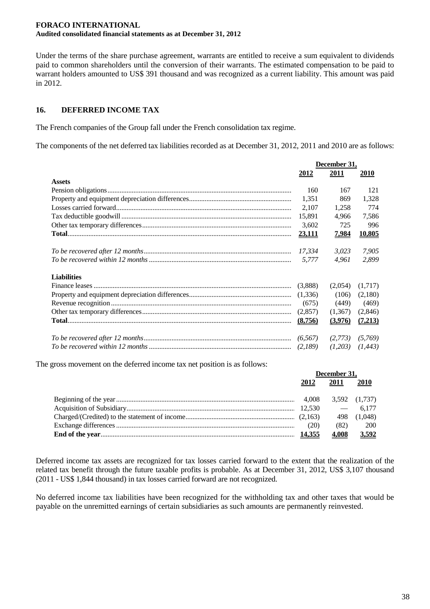Under the terms of the share purchase agreement, warrants are entitled to receive a sum equivalent to dividends paid to common shareholders until the conversion of their warrants. The estimated compensation to be paid to warrant holders amounted to US\$ 391 thousand and was recognized as a current liability. This amount was paid in 2012.

# **16. DEFERRED INCOME TAX**

The French companies of the Group fall under the French consolidation tax regime.

The components of the net deferred tax liabilities recorded as at December 31, 2012, 2011 and 2010 are as follows:

|                    | December 31,  |              |             |
|--------------------|---------------|--------------|-------------|
|                    | 2012          | 2011         | <b>2010</b> |
| <b>Assets</b>      |               |              |             |
|                    | 160           | 167          | 121         |
|                    | 1,351         | 869          | 1,328       |
|                    | 2.107         | 1,258        | 774         |
|                    | 15,891        | 4,966        | 7,586       |
|                    | 3,602         | 725          | 996         |
|                    | <u>23,111</u> | <u>7,984</u> | 10,805      |
|                    |               |              |             |
|                    | 17,334        | 3,023        | 7,905       |
|                    | 5.777         | 4.961        | 2.899       |
|                    |               |              |             |
| <b>Liabilities</b> |               |              |             |
|                    | (3.888)       | (2.054)      | (1.717)     |
|                    | (1,336)       | (106)        | (2,180)     |
|                    | (675)         | (449)        | (469)       |
|                    | (2,857)       | (1,367)      | (2,846)     |
|                    | (8.756)       | (3,976)      | (7,213)     |
|                    |               |              |             |
|                    | (6, 567)      | (2.773)      | (5,769)     |
|                    |               | (1.203)      | (1.443)     |

The gross movement on the deferred income tax net position is as follows:

| December 31, |       |             |
|--------------|-------|-------------|
| 2012         | 2011  | <b>2010</b> |
|              |       |             |
|              |       |             |
|              |       |             |
|              | (82)  | 200         |
|              | 4.008 | 3.592       |

Deferred income tax assets are recognized for tax losses carried forward to the extent that the realization of the related tax benefit through the future taxable profits is probable. As at December 31, 2012, US\$ 3,107 thousand (2011 - US\$ 1,844 thousand) in tax losses carried forward are not recognized.

No deferred income tax liabilities have been recognized for the withholding tax and other taxes that would be payable on the unremitted earnings of certain subsidiaries as such amounts are permanently reinvested.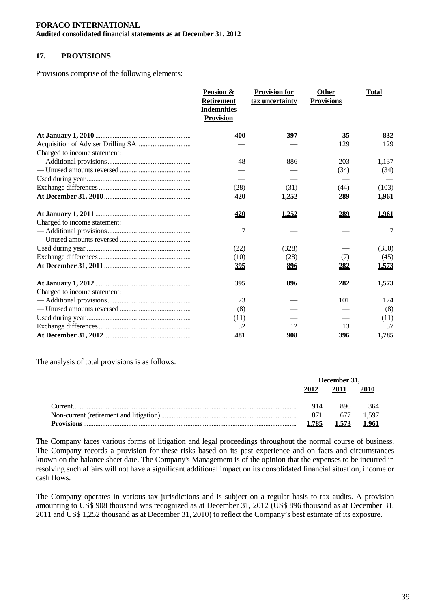**Audited consolidated financial statements as at December 31, 2012**

#### **17. PROVISIONS**

Provisions comprise of the following elements:

|                              | Pension &<br><b>Retirement</b><br><b>Indemnities</b><br><b>Provision</b> | <b>Provision for</b><br>tax uncertainty | <b>Other</b><br><b>Provisions</b> | <b>Total</b> |
|------------------------------|--------------------------------------------------------------------------|-----------------------------------------|-----------------------------------|--------------|
|                              | 400                                                                      | 397                                     | 35                                | 832          |
|                              |                                                                          |                                         | 129                               | 129          |
| Charged to income statement: |                                                                          |                                         |                                   |              |
|                              | 48                                                                       | 886                                     | 203                               | 1,137        |
|                              |                                                                          |                                         | (34)                              | (34)         |
|                              |                                                                          |                                         |                                   |              |
|                              | (28)                                                                     | (31)                                    | (44)                              | (103)        |
|                              | <b>420</b>                                                               | 1,252                                   | <b>289</b>                        | <u>1,961</u> |
|                              | <u>420</u>                                                               | 1,252                                   | <u>289</u>                        | <u>1,961</u> |
| Charged to income statement: |                                                                          |                                         |                                   |              |
|                              | 7                                                                        |                                         |                                   | 7            |
|                              |                                                                          |                                         |                                   |              |
|                              | (22)                                                                     | (328)                                   |                                   | (350)        |
|                              | (10)                                                                     | (28)                                    | (7)                               | (45)         |
|                              | <u>395</u>                                                               | <u>896</u>                              | <u>282</u>                        | 1,573        |
|                              | <u>395</u>                                                               | 896                                     | 282                               | 1,573        |
| Charged to income statement: |                                                                          |                                         |                                   |              |
|                              | 73                                                                       |                                         | 101                               | 174          |
|                              | (8)                                                                      |                                         |                                   | (8)          |
|                              | (11)                                                                     |                                         |                                   | (11)         |
|                              | 32                                                                       | 12                                      | 13                                | 57           |
|                              | 481                                                                      | <u>908</u>                              | <u>396</u>                        | 1,785        |

The analysis of total provisions is as follows:

| December 31, |       |       |
|--------------|-------|-------|
| 2012         | 2011  | 2010  |
|              |       |       |
| 914          | 896   | 364   |
| 871          | 677   | 1.597 |
| <b>1.785</b> | 1.573 | 1.961 |

The Company faces various forms of litigation and legal proceedings throughout the normal course of business. The Company records a provision for these risks based on its past experience and on facts and circumstances known on the balance sheet date. The Company's Management is of the opinion that the expenses to be incurred in resolving such affairs will not have a significant additional impact on its consolidated financial situation, income or cash flows.

The Company operates in various tax jurisdictions and is subject on a regular basis to tax audits. A provision amounting to US\$ 908 thousand was recognized as at December 31, 2012 (US\$ 896 thousand as at December 31, 2011 and US\$ 1,252 thousand as at December 31, 2010) to reflect the Company's best estimate of its exposure.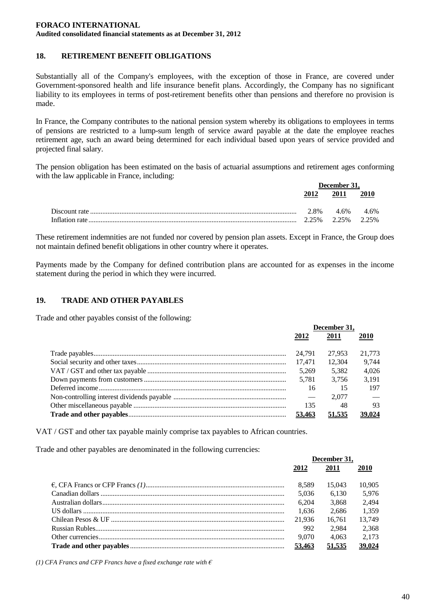#### **Audited consolidated financial statements as at December 31, 2012**

#### **18. RETIREMENT BENEFIT OBLIGATIONS**

Substantially all of the Company's employees, with the exception of those in France, are covered under Government-sponsored health and life insurance benefit plans. Accordingly, the Company has no significant liability to its employees in terms of post-retirement benefits other than pensions and therefore no provision is made.

In France, the Company contributes to the national pension system whereby its obligations to employees in terms of pensions are restricted to a lump-sum length of service award payable at the date the employee reaches retirement age, such an award being determined for each individual based upon years of service provided and projected final salary.

The pension obligation has been estimated on the basis of actuarial assumptions and retirement ages conforming with the law applicable in France, including:

| December 31. |                   |      |
|--------------|-------------------|------|
| 2012         | $-2011$           | 2010 |
|              |                   |      |
|              | 2.8% 4.6% 4.6%    |      |
|              | 2.25% 2.25% 2.25% |      |

These retirement indemnities are not funded nor covered by pension plan assets. Except in France, the Group does not maintain defined benefit obligations in other country where it operates.

Payments made by the Company for defined contribution plans are accounted for as expenses in the income statement during the period in which they were incurred.

#### **19. TRADE AND OTHER PAYABLES**

Trade and other payables consist of the following:

| December 31.             |        |               |
|--------------------------|--------|---------------|
| 2012                     | 2011   | <b>2010</b>   |
| 24,791                   | 27.953 | 21,773        |
| 17.471                   | 12.304 | 9.744         |
| 5,269                    | 5.382  | 4.026         |
| 5.781                    | 3.756  | 3.191         |
| 16                       | 15     | 197           |
| $\overline{\phantom{a}}$ | 2.077  | $\frac{1}{2}$ |
| 135                      | 48     | 93            |
| 53.463                   | 51.535 |               |

VAT / GST and other tax payable mainly comprise tax payables to African countries.

Trade and other payables are denominated in the following currencies:

| December 31, |        |               |
|--------------|--------|---------------|
| 2012         | 2011   | 2010          |
| 8.589        | 15,043 | 10.905        |
| 5.036        | 6.130  | 5.976         |
| 6.204        | 3.868  | 2.494         |
| 1.636        | 2.686  | 1.359         |
| 21.936       | 16.761 | 13.749        |
| 992          | 2.984  | 2.368         |
| 9.070        | 4.063  | 2.173         |
| 53,463       | 51,535 | <u>39.024</u> |

*(1)* CFA Francs and CFP Francs have a fixed exchange rate with  $\epsilon$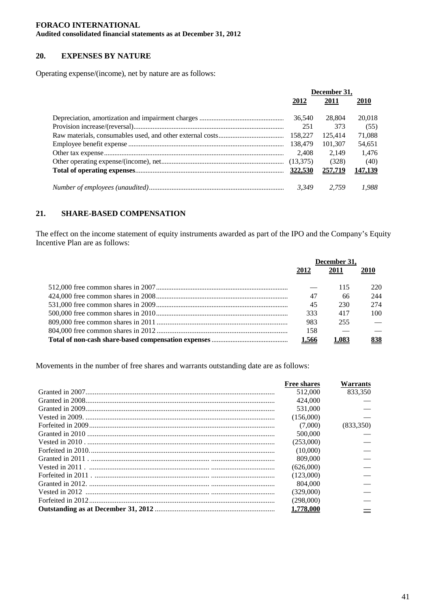**Audited consolidated financial statements as at December 31, 2012**

# **20. EXPENSES BY NATURE**

Operating expense/(income), net by nature are as follows:

| December 31,   |         |                |
|----------------|---------|----------------|
| 2012           | 2011    | <b>2010</b>    |
| 36,540         | 28,804  | 20,018         |
| 251            | 373     | (55)           |
| 158,227        | 125.414 | 71.088         |
| 138,479        | 101.307 | 54,651         |
| 2.408          | 2.149   | 1.476          |
|                | (328)   | (40)           |
| <b>322,530</b> | 257,719 | <u>147.139</u> |
| 3.349          | 2.759   | 1.988          |

# **21. SHARE-BASED COMPENSATION**

The effect on the income statement of equity instruments awarded as part of the IPO and the Company's Equity Incentive Plan are as follows:

| December 31. |      |      |
|--------------|------|------|
| 2012         | 2011 | 2010 |
|              |      |      |
|              | 115  | 220  |
| 47           | 66   | 244  |
| 45           | 230  | 2.74 |
| 333          | 417  | 100  |
| 983          | 255  |      |
| 158          |      |      |
| 1,566        |      | 338  |

Movements in the number of free shares and warrants outstanding date are as follows:

| <b>Free shares</b> | <b>Warrants</b> |
|--------------------|-----------------|
| 512.000            | 833.350         |
| 424,000            |                 |
| 531,000            |                 |
| (156,000)          |                 |
| (7.000)            | (833,350)       |
| 500,000            |                 |
| (253,000)          |                 |
| (10,000)           |                 |
| 809,000            |                 |
| (626,000)          |                 |
| (123.000)          |                 |
| 804,000            |                 |
| (329,000)          |                 |
| (298,000)          |                 |
| 1,778,000          |                 |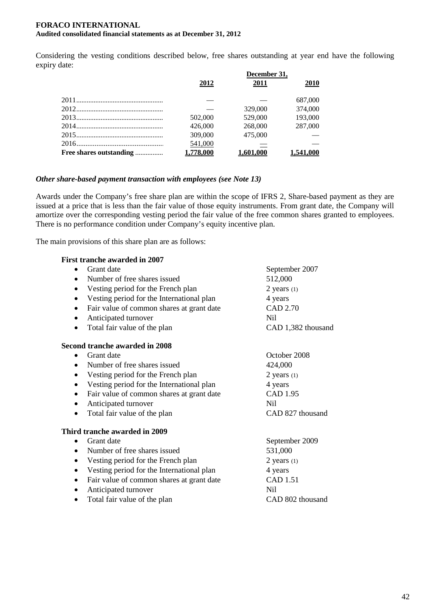Considering the vesting conditions described below, free shares outstanding at year end have the following expiry date:

|                         |           | December 31, |             |
|-------------------------|-----------|--------------|-------------|
|                         | 2012      | 2011         | <b>2010</b> |
|                         |           |              | 687,000     |
|                         |           | 329,000      | 374,000     |
|                         | 502,000   | 529,000      | 193,000     |
|                         | 426,000   | 268,000      | 287,000     |
|                         | 309,000   | 475,000      |             |
|                         | 541,000   |              |             |
| Free shares outstanding | 1.778.000 |              |             |

#### *Other share-based payment transaction with employees (see Note 13)*

Awards under the Company's free share plan are within the scope of IFRS 2, Share-based payment as they are issued at a price that is less than the fair value of those equity instruments. From grant date, the Company will amortize over the corresponding vesting period the fair value of the free common shares granted to employees. There is no performance condition under Company's equity incentive plan.

The main provisions of this share plan are as follows:

# **First tranche awarded in 2007**

|           | Grant date                                | September 2007     |
|-----------|-------------------------------------------|--------------------|
| $\bullet$ | Number of free shares issued              | 512,000            |
|           | Vesting period for the French plan        | $2$ years $(1)$    |
| $\bullet$ | Vesting period for the International plan | 4 years            |
| $\bullet$ | Fair value of common shares at grant date | CAD 2.70           |
| $\bullet$ | Anticipated turnover                      | Nil.               |
|           | Total fair value of the plan              | CAD 1,382 thousand |
|           | Second tranche awarded in 2008            |                    |
| $\bullet$ | Grant date                                | October 2008       |
| $\bullet$ | Number of free shares issued              | 424,000            |
|           | Vesting period for the French plan        | 2 years $(1)$      |
| $\bullet$ | Vesting period for the International plan | 4 years            |
| $\bullet$ | Fair value of common shares at grant date | <b>CAD 1.95</b>    |
|           | Anticipated turnover                      | Nil.               |
|           | Total fair value of the plan              | CAD 827 thousand   |
|           |                                           |                    |

#### **Third tranche awarded in 2009**

- Grant date September 2009
- Number of free shares issued 531,000
- Vesting period for the French plan  $2 \text{ years}$  (1)
- Vesting period for the International plan 4 years
- Fair value of common shares at grant date CAD 1.51
- Anticipated turnover Nil
- Total fair value of the plan CAD 802 thousand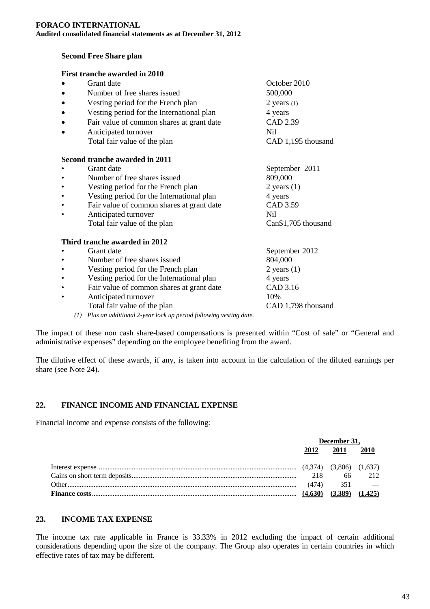# **Second Free Share plan**

#### **First tranche awarded in 2010**

|   | Grant date                                | October 2010        |
|---|-------------------------------------------|---------------------|
|   | Number of free shares issued              | 500,000             |
| ٠ | Vesting period for the French plan        | $2$ years $(1)$     |
|   | Vesting period for the International plan | 4 years             |
|   | Fair value of common shares at grant date | CAD 2.39            |
|   | Anticipated turnover                      | Nil.                |
|   | Total fair value of the plan              | CAD 1,195 thousand  |
|   | Second tranche awarded in 2011            |                     |
|   | Grant date                                | September 2011      |
|   | Number of free shares issued              | 809,000             |
|   | Vesting period for the French plan        | 2 years $(1)$       |
|   | Vesting period for the International plan | 4 years             |
|   | Fair value of common shares at grant date | CAD 3.59            |
|   | Anticipated turnover                      | Nil.                |
|   | Total fair value of the plan              | Can\$1,705 thousand |
|   | Third tranche awarded in 2012             |                     |
|   | Grant date                                | September 2012      |
|   | Number of free shares issued              | 804,000             |
|   | Vesting period for the French plan        | 2 years $(1)$       |
|   | Vesting period for the International plan | 4 years             |
|   | Fair value of common shares at grant date | CAD 3.16            |
|   | Anticipated turnover                      | 10%                 |
|   | Total fair value of the plan              | CAD 1,798 thousand  |
|   | $\mathbf{1}$                              |                     |

*(1) Plus an additional 2-year lock up period following vesting date.*

The impact of these non cash share-based compensations is presented within "Cost of sale" or "General and administrative expenses" depending on the employee benefiting from the award.

The dilutive effect of these awards, if any, is taken into account in the calculation of the diluted earnings per share (see Note 24).

#### **22. FINANCE INCOME AND FINANCIAL EXPENSE**

Financial income and expense consists of the following:

| December 31, |                     |  |
|--------------|---------------------|--|
| 2012         | 2011 2010           |  |
|              |                     |  |
|              |                     |  |
|              |                     |  |
|              | $(3,389)$ $(1,425)$ |  |

#### **23. INCOME TAX EXPENSE**

The income tax rate applicable in France is 33.33% in 2012 excluding the impact of certain additional considerations depending upon the size of the company. The Group also operates in certain countries in which effective rates of tax may be different.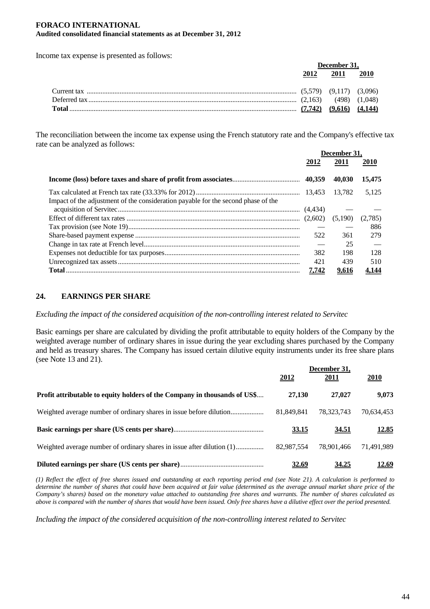Income tax expense is presented as follows:

| December 31, |                |  |
|--------------|----------------|--|
|              | 2012 2011 2010 |  |
|              |                |  |
|              |                |  |
|              |                |  |
|              |                |  |

The reconciliation between the income tax expense using the French statutory rate and the Company's effective tax rate can be analyzed as follows:

|                                                                                   | December 31. |              |              |
|-----------------------------------------------------------------------------------|--------------|--------------|--------------|
|                                                                                   | 2012         | <b>2011</b>  | 2010         |
|                                                                                   | 40,359       | 40,030       | 15,475       |
|                                                                                   |              | 13.782       | 5.125        |
| Impact of the adjustment of the consideration payable for the second phase of the |              |              |              |
|                                                                                   |              |              |              |
|                                                                                   |              | (5.190)      | (2,785)      |
|                                                                                   |              |              | 886          |
|                                                                                   | 522          | 361          | 279          |
|                                                                                   |              | 25           |              |
|                                                                                   | 382          | 198          | 128          |
|                                                                                   | 421          | 439          | 510          |
|                                                                                   | 7.742        | <u>9.616</u> | <u>4.144</u> |

# **24. EARNINGS PER SHARE**

*Excluding the impact of the considered acquisition of the non-controlling interest related to Servitec*

Basic earnings per share are calculated by dividing the profit attributable to equity holders of the Company by the weighted average number of ordinary shares in issue during the year excluding shares purchased by the Company and held as treasury shares. The Company has issued certain dilutive equity instruments under its free share plans (see Note 13 and 21).

|                                                                           | December 31, |              |             |
|---------------------------------------------------------------------------|--------------|--------------|-------------|
|                                                                           | <u>2012</u>  | 2011         | <b>2010</b> |
| Profit attributable to equity holders of the Company in thousands of US\$ | 27,130       | 27,027       | 9,073       |
|                                                                           | 81.849.841   | 78.323.743   | 70,634,453  |
|                                                                           | <u>33.15</u> | 34.51        | 12.85       |
| Weighted average number of ordinary shares in issue after dilution (1)    | 82,987,554   | 78.901.466   | 71,491,989  |
|                                                                           | <u>32.69</u> | <u>34.25</u> | 12.69       |

*(1) Reflect the effect of free shares issued and outstanding at each reporting period end (see Note 21). A calculation is performed to determine the number of shares that could have been acquired at fair value (determined as the average annual market share price of the Company's shares) based on the monetary value attached to outstanding free shares and warrants. The number of shares calculated as above is compared with the number of shares that would have been issued. Only free shares have a dilutive effect over the period presented.*

*Including the impact of the considered acquisition of the non-controlling interest related to Servitec*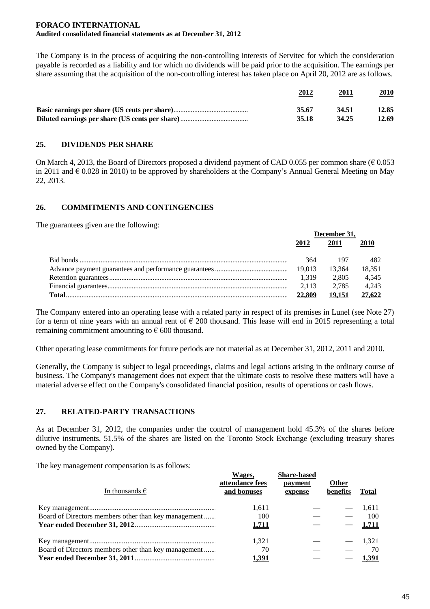The Company is in the process of acquiring the non-controlling interests of Servitec for which the consideration payable is recorded as a liability and for which no dividends will be paid prior to the acquisition. The earnings per share assuming that the acquisition of the non-controlling interest has taken place on April 20, 2012 are as follows.

| 2012  | 2011  | 2010  |
|-------|-------|-------|
| 35.67 | 34.51 | 12.85 |
| 35.18 | 34.25 | 12.69 |

# **25. DIVIDENDS PER SHARE**

On March 4, 2013, the Board of Directors proposed a dividend payment of CAD 0.055 per common share ( $\epsilon$  0.053 in 2011 and  $\epsilon$  0.028 in 2010) to be approved by shareholders at the Company's Annual General Meeting on May 22, 2013.

# **26. COMMITMENTS AND CONTINGENCIES**

The guarantees given are the following:

| December 31, |        |        |
|--------------|--------|--------|
| 2012         | 2011   | 2010   |
| 364          | 197    | 482    |
| 19.013       | 13.364 | 18.351 |
| 1.319        | 2.805  | 4.545  |
| 2.113        | 2.785  | 4.243  |
| 22,809       | 19.151 | 27,622 |

The Company entered into an operating lease with a related party in respect of its premises in Lunel (see Note 27) for a term of nine years with an annual rent of  $\epsilon$  200 thousand. This lease will end in 2015 representing a total remaining commitment amounting to  $\epsilon$  600 thousand.

Other operating lease commitments for future periods are not material as at December 31, 2012, 2011 and 2010.

Generally, the Company is subject to legal proceedings, claims and legal actions arising in the ordinary course of business. The Company's management does not expect that the ultimate costs to resolve these matters will have a material adverse effect on the Company's consolidated financial position, results of operations or cash flows.

# **27. RELATED-PARTY TRANSACTIONS**

As at December 31, 2012, the companies under the control of management hold 45.3% of the shares before dilutive instruments. 51.5% of the shares are listed on the Toronto Stock Exchange (excluding treasury shares owned by the Company).

The key management compensation is as follows:

| In thousands $\epsilon$                              | Wages,<br>attendance fees<br>and bonuses | <b>Share-based</b><br>payment<br>expense | <b>Other</b><br>benefits | <b>Total</b> |
|------------------------------------------------------|------------------------------------------|------------------------------------------|--------------------------|--------------|
|                                                      | 1.611                                    |                                          |                          | 1,611        |
| Board of Directors members other than key management | 100                                      |                                          |                          | 100          |
|                                                      | 1.711                                    |                                          |                          | 1,711        |
|                                                      | 1.321                                    |                                          |                          | 1.321        |
| Board of Directors members other than key management | 70                                       |                                          |                          | 70           |
|                                                      | 1.391                                    |                                          |                          | .391         |